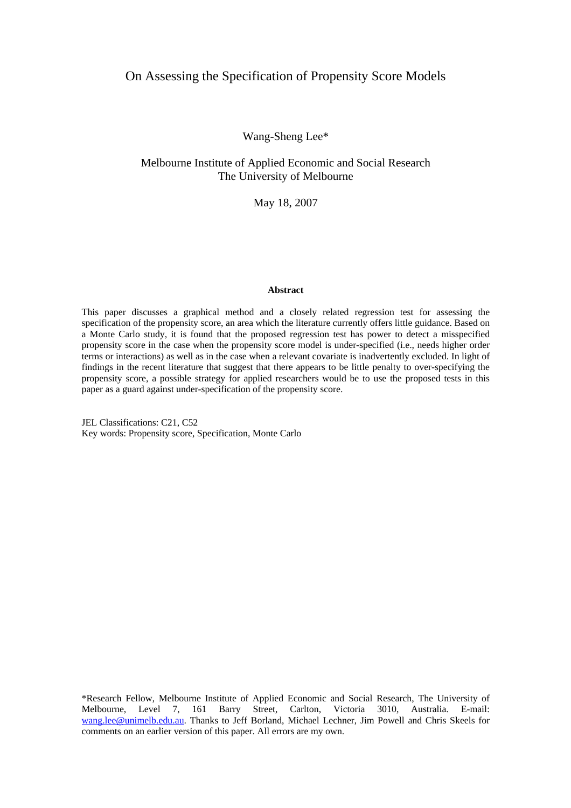## On Assessing the Specification of Propensity Score Models

Wang-Sheng Lee\*

## Melbourne Institute of Applied Economic and Social Research The University of Melbourne

May 18, 2007

#### **Abstract**

This paper discusses a graphical method and a closely related regression test for assessing the specification of the propensity score, an area which the literature currently offers little guidance. Based on a Monte Carlo study, it is found that the proposed regression test has power to detect a misspecified propensity score in the case when the propensity score model is under-specified (i.e., needs higher order terms or interactions) as well as in the case when a relevant covariate is inadvertently excluded. In light of findings in the recent literature that suggest that there appears to be little penalty to over-specifying the propensity score, a possible strategy for applied researchers would be to use the proposed tests in this paper as a guard against under-specification of the propensity score.

JEL Classifications: C21, C52 Key words: Propensity score, Specification, Monte Carlo

\*Research Fellow, Melbourne Institute of Applied Economic and Social Research, The University of Melbourne, Level 7, 161 Barry Street, Carlton, Victoria 3010, Australia. E-mail: [wang.lee@unimelb.edu.au.](mailto:wang.lee@unimelb.edu.au) Thanks to Jeff Borland, Michael Lechner, Jim Powell and Chris Skeels for comments on an earlier version of this paper. All errors are my own.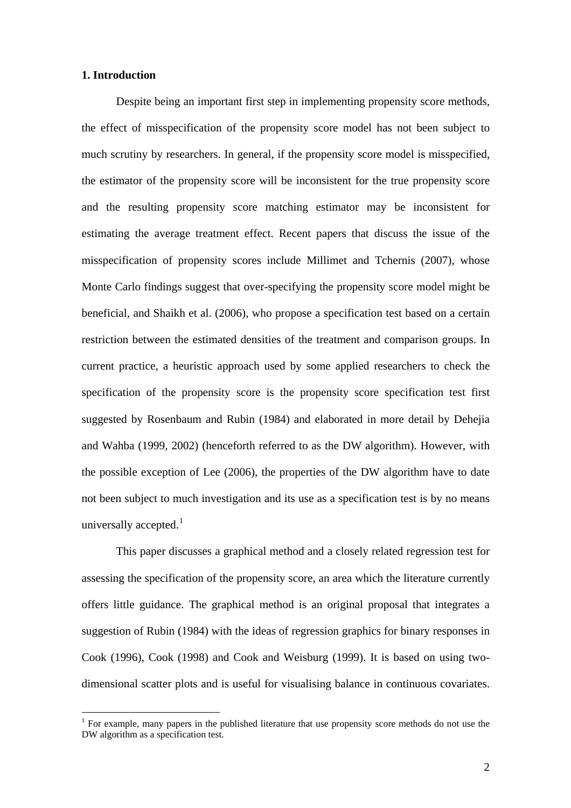### **1. Introduction**

 $\overline{a}$ 

Despite being an important first step in implementing propensity score methods, the effect of misspecification of the propensity score model has not been subject to much scrutiny by researchers. In general, if the propensity score model is misspecified, the estimator of the propensity score will be inconsistent for the true propensity score and the resulting propensity score matching estimator may be inconsistent for estimating the average treatment effect. Recent papers that discuss the issue of the misspecification of propensity scores include Millimet and Tchernis (2007), whose Monte Carlo findings suggest that over-specifying the propensity score model might be beneficial, and Shaikh et al. (2006), who propose a specification test based on a certain restriction between the estimated densities of the treatment and comparison groups. In current practice, a heuristic approach used by some applied researchers to check the specification of the propensity score is the propensity score specification test first suggested by Rosenbaum and Rubin (1984) and elaborated in more detail by Dehejia and Wahba (1999, 2002) (henceforth referred to as the DW algorithm). However, with the possible exception of Lee (2006), the properties of the DW algorithm have to date not been subject to much investigation and its use as a specification test is by no means universally accepted. $<sup>1</sup>$  $<sup>1</sup>$  $<sup>1</sup>$ </sup>

This paper discusses a graphical method and a closely related regression test for assessing the specification of the propensity score, an area which the literature currently offers little guidance. The graphical method is an original proposal that integrates a suggestion of Rubin (1984) with the ideas of regression graphics for binary responses in Cook (1996), Cook (1998) and Cook and Weisburg (1999). It is based on using twodimensional scatter plots and is useful for visualising balance in continuous covariates.

<span id="page-1-0"></span><sup>&</sup>lt;sup>1</sup> For example, many papers in the published literature that use propensity score methods do not use the DW algorithm as a specification test.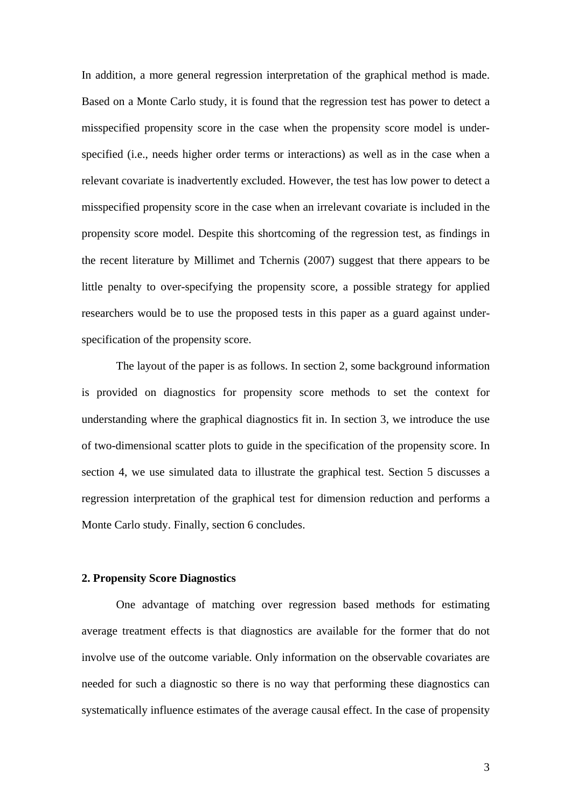In addition, a more general regression interpretation of the graphical method is made. Based on a Monte Carlo study, it is found that the regression test has power to detect a misspecified propensity score in the case when the propensity score model is underspecified (i.e., needs higher order terms or interactions) as well as in the case when a relevant covariate is inadvertently excluded. However, the test has low power to detect a misspecified propensity score in the case when an irrelevant covariate is included in the propensity score model. Despite this shortcoming of the regression test, as findings in the recent literature by Millimet and Tchernis (2007) suggest that there appears to be little penalty to over-specifying the propensity score, a possible strategy for applied researchers would be to use the proposed tests in this paper as a guard against underspecification of the propensity score.

The layout of the paper is as follows. In section 2, some background information is provided on diagnostics for propensity score methods to set the context for understanding where the graphical diagnostics fit in. In section 3, we introduce the use of two-dimensional scatter plots to guide in the specification of the propensity score. In section 4, we use simulated data to illustrate the graphical test. Section 5 discusses a regression interpretation of the graphical test for dimension reduction and performs a Monte Carlo study. Finally, section 6 concludes.

#### **2. Propensity Score Diagnostics**

One advantage of matching over regression based methods for estimating average treatment effects is that diagnostics are available for the former that do not involve use of the outcome variable. Only information on the observable covariates are needed for such a diagnostic so there is no way that performing these diagnostics can systematically influence estimates of the average causal effect. In the case of propensity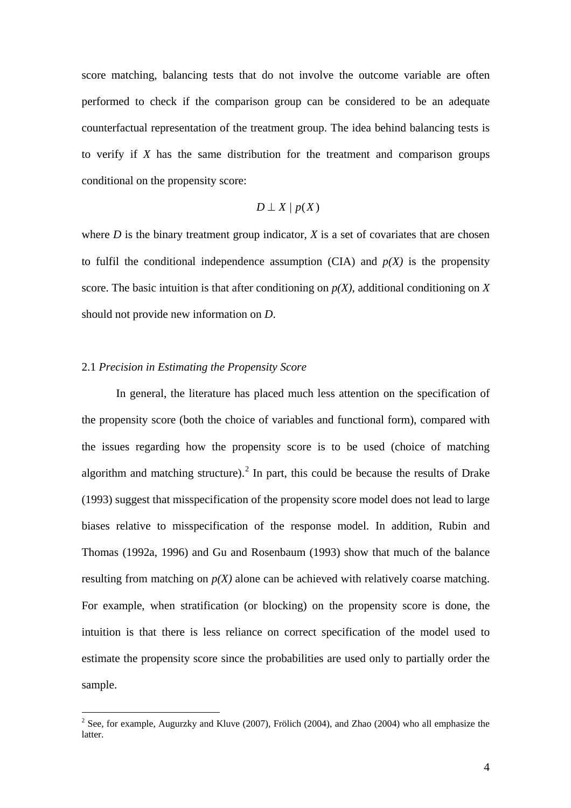score matching, balancing tests that do not involve the outcome variable are often performed to check if the comparison group can be considered to be an adequate counterfactual representation of the treatment group. The idea behind balancing tests is to verify if *X* has the same distribution for the treatment and comparison groups conditional on the propensity score:

$$
D \perp X \mid p(X)
$$

where  $D$  is the binary treatment group indicator,  $X$  is a set of covariates that are chosen to fulfil the conditional independence assumption  $(CIA)$  and  $p(X)$  is the propensity score. The basic intuition is that after conditioning on *p(X)*, additional conditioning on *X* should not provide new information on *D*.

### 2.1 *Precision in Estimating the Propensity Score*

 $\overline{a}$ 

In general, the literature has placed much less attention on the specification of the propensity score (both the choice of variables and functional form), compared with the issues regarding how the propensity score is to be used (choice of matching algorithm and matching structure).<sup>[2](#page-3-0)</sup> In part, this could be because the results of Drake (1993) suggest that misspecification of the propensity score model does not lead to large biases relative to misspecification of the response model. In addition, Rubin and Thomas (1992a, 1996) and Gu and Rosenbaum (1993) show that much of the balance resulting from matching on  $p(X)$  alone can be achieved with relatively coarse matching. For example, when stratification (or blocking) on the propensity score is done, the intuition is that there is less reliance on correct specification of the model used to estimate the propensity score since the probabilities are used only to partially order the sample.

<span id="page-3-0"></span><sup>&</sup>lt;sup>2</sup> See, for example, Augurzky and Kluve (2007), Frölich (2004), and Zhao (2004) who all emphasize the latter.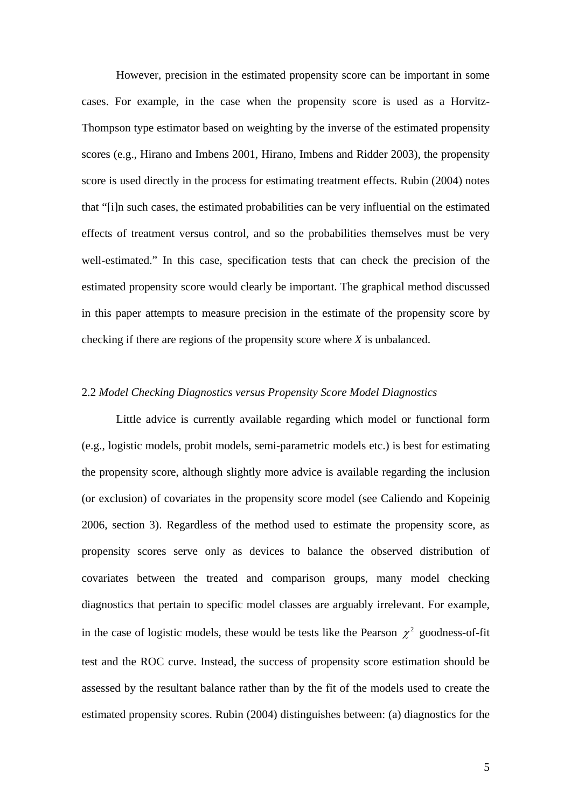However, precision in the estimated propensity score can be important in some cases. For example, in the case when the propensity score is used as a Horvitz-Thompson type estimator based on weighting by the inverse of the estimated propensity scores (e.g., Hirano and Imbens 2001, Hirano, Imbens and Ridder 2003), the propensity score is used directly in the process for estimating treatment effects. Rubin (2004) notes that "[i]n such cases, the estimated probabilities can be very influential on the estimated effects of treatment versus control, and so the probabilities themselves must be very well-estimated." In this case, specification tests that can check the precision of the estimated propensity score would clearly be important. The graphical method discussed in this paper attempts to measure precision in the estimate of the propensity score by checking if there are regions of the propensity score where *X* is unbalanced.

## 2.2 *Model Checking Diagnostics versus Propensity Score Model Diagnostics*

Little advice is currently available regarding which model or functional form (e.g., logistic models, probit models, semi-parametric models etc.) is best for estimating the propensity score, although slightly more advice is available regarding the inclusion (or exclusion) of covariates in the propensity score model (see Caliendo and Kopeinig 2006, section 3). Regardless of the method used to estimate the propensity score, as propensity scores serve only as devices to balance the observed distribution of covariates between the treated and comparison groups, many model checking diagnostics that pertain to specific model classes are arguably irrelevant. For example, in the case of logistic models, these would be tests like the Pearson  $\chi^2$  goodness-of-fit test and the ROC curve. Instead, the success of propensity score estimation should be assessed by the resultant balance rather than by the fit of the models used to create the estimated propensity scores. Rubin (2004) distinguishes between: (a) diagnostics for the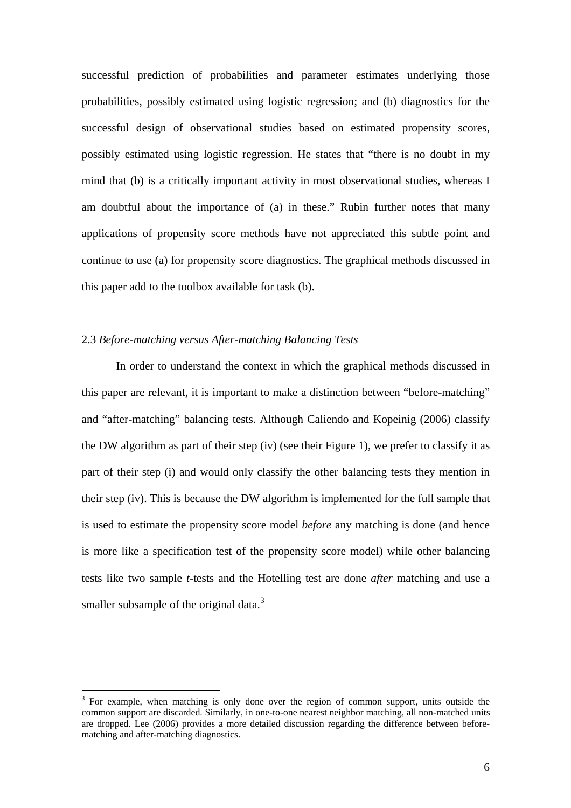successful prediction of probabilities and parameter estimates underlying those probabilities, possibly estimated using logistic regression; and (b) diagnostics for the successful design of observational studies based on estimated propensity scores, possibly estimated using logistic regression. He states that "there is no doubt in my mind that (b) is a critically important activity in most observational studies, whereas I am doubtful about the importance of (a) in these." Rubin further notes that many applications of propensity score methods have not appreciated this subtle point and continue to use (a) for propensity score diagnostics. The graphical methods discussed in this paper add to the toolbox available for task (b).

### 2.3 *Before-matching versus After-matching Balancing Tests*

 $\overline{a}$ 

In order to understand the context in which the graphical methods discussed in this paper are relevant, it is important to make a distinction between "before-matching" and "after-matching" balancing tests. Although Caliendo and Kopeinig (2006) classify the DW algorithm as part of their step (iv) (see their Figure 1), we prefer to classify it as part of their step (i) and would only classify the other balancing tests they mention in their step (iv). This is because the DW algorithm is implemented for the full sample that is used to estimate the propensity score model *before* any matching is done (and hence is more like a specification test of the propensity score model) while other balancing tests like two sample *t*-tests and the Hotelling test are done *after* matching and use a smaller subsample of the original data. $3$ 

<span id="page-5-0"></span> $3$  For example, when matching is only done over the region of common support, units outside the common support are discarded. Similarly, in one-to-one nearest neighbor matching, all non-matched units are dropped. Lee (2006) provides a more detailed discussion regarding the difference between beforematching and after-matching diagnostics.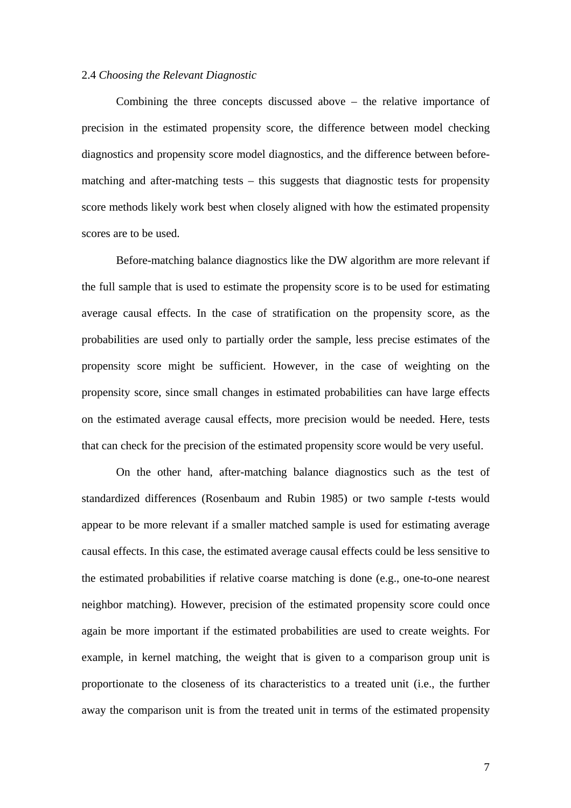#### 2.4 *Choosing the Relevant Diagnostic*

Combining the three concepts discussed above – the relative importance of precision in the estimated propensity score, the difference between model checking diagnostics and propensity score model diagnostics, and the difference between beforematching and after-matching tests – this suggests that diagnostic tests for propensity score methods likely work best when closely aligned with how the estimated propensity scores are to be used.

Before-matching balance diagnostics like the DW algorithm are more relevant if the full sample that is used to estimate the propensity score is to be used for estimating average causal effects. In the case of stratification on the propensity score, as the probabilities are used only to partially order the sample, less precise estimates of the propensity score might be sufficient. However, in the case of weighting on the propensity score, since small changes in estimated probabilities can have large effects on the estimated average causal effects, more precision would be needed. Here, tests that can check for the precision of the estimated propensity score would be very useful.

On the other hand, after-matching balance diagnostics such as the test of standardized differences (Rosenbaum and Rubin 1985) or two sample *t*-tests would appear to be more relevant if a smaller matched sample is used for estimating average causal effects. In this case, the estimated average causal effects could be less sensitive to the estimated probabilities if relative coarse matching is done (e.g., one-to-one nearest neighbor matching). However, precision of the estimated propensity score could once again be more important if the estimated probabilities are used to create weights. For example, in kernel matching, the weight that is given to a comparison group unit is proportionate to the closeness of its characteristics to a treated unit (i.e., the further away the comparison unit is from the treated unit in terms of the estimated propensity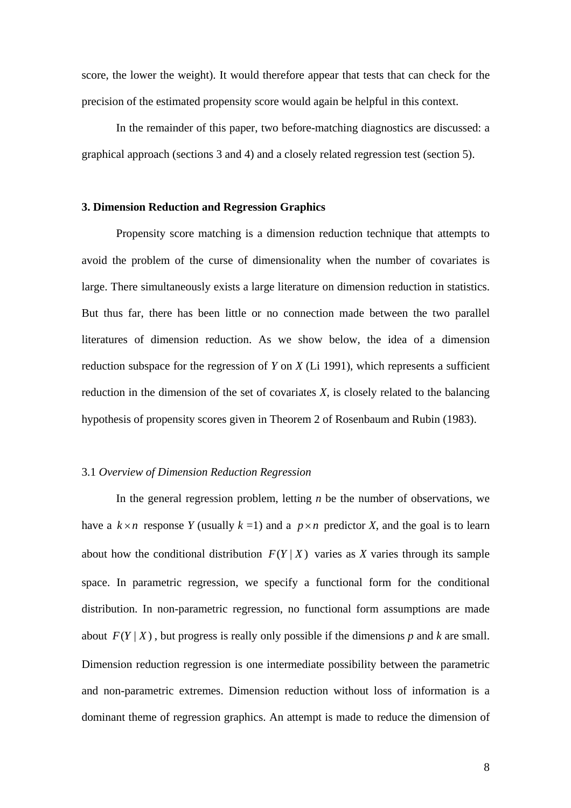score, the lower the weight). It would therefore appear that tests that can check for the precision of the estimated propensity score would again be helpful in this context.

In the remainder of this paper, two before-matching diagnostics are discussed: a graphical approach (sections 3 and 4) and a closely related regression test (section 5).

#### **3. Dimension Reduction and Regression Graphics**

Propensity score matching is a dimension reduction technique that attempts to avoid the problem of the curse of dimensionality when the number of covariates is large. There simultaneously exists a large literature on dimension reduction in statistics. But thus far, there has been little or no connection made between the two parallel literatures of dimension reduction. As we show below, the idea of a dimension reduction subspace for the regression of *Y* on *X* (Li 1991), which represents a sufficient reduction in the dimension of the set of covariates *X*, is closely related to the balancing hypothesis of propensity scores given in Theorem 2 of Rosenbaum and Rubin (1983).

#### 3.1 *Overview of Dimension Reduction Regression*

In the general regression problem, letting *n* be the number of observations, we have a  $k \times n$  response *Y* (usually  $k = 1$ ) and a  $p \times n$  predictor *X*, and the goal is to learn about how the conditional distribution  $F(Y | X)$  varies as *X* varies through its sample space. In parametric regression, we specify a functional form for the conditional distribution. In non-parametric regression, no functional form assumptions are made about  $F(Y | X)$ , but progress is really only possible if the dimensions *p* and *k* are small. Dimension reduction regression is one intermediate possibility between the parametric and non-parametric extremes. Dimension reduction without loss of information is a dominant theme of regression graphics. An attempt is made to reduce the dimension of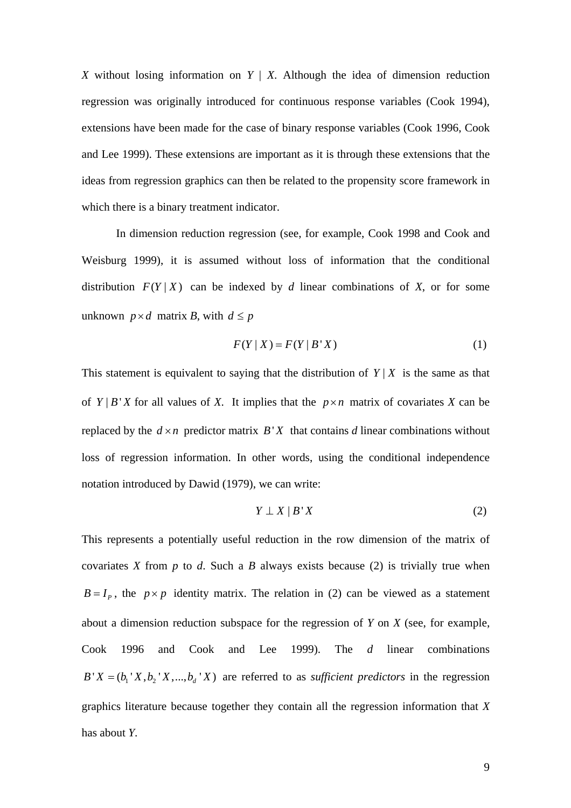*X* without losing information on  $Y \mid X$ . Although the idea of dimension reduction regression was originally introduced for continuous response variables (Cook 1994), extensions have been made for the case of binary response variables (Cook 1996, Cook and Lee 1999). These extensions are important as it is through these extensions that the ideas from regression graphics can then be related to the propensity score framework in which there is a binary treatment indicator.

In dimension reduction regression (see, for example, Cook 1998 and Cook and Weisburg 1999), it is assumed without loss of information that the conditional distribution  $F(Y | X)$  can be indexed by *d* linear combinations of *X*, or for some unknown  $p \times d$  matrix *B*, with  $d \leq p$ 

$$
F(Y \mid X) = F(Y \mid B'X) \tag{1}
$$

This statement is equivalent to saying that the distribution of  $Y | X$  is the same as that of  $Y | B' X$  for all values of X. It implies that the  $p \times n$  matrix of covariates X can be replaced by the  $d \times n$  predictor matrix  $B'X$  that contains *d* linear combinations without loss of regression information. In other words, using the conditional independence notation introduced by Dawid (1979), we can write:

$$
Y \perp X \mid B \mid X \tag{2}
$$

This represents a potentially useful reduction in the row dimension of the matrix of covariates *X* from *p* to *d*. Such a *B* always exists because (2) is trivially true when  $B = I_p$ , the  $p \times p$  identity matrix. The relation in (2) can be viewed as a statement about a dimension reduction subspace for the regression of *Y* on *X* (see, for example, Cook 1996 and Cook and Lee 1999). The *d* linear combinations  $B' X = (b_1' X, b_2' X, ..., b_d' X)$  are referred to as *sufficient predictors* in the regression graphics literature because together they contain all the regression information that *X* has about *Y*.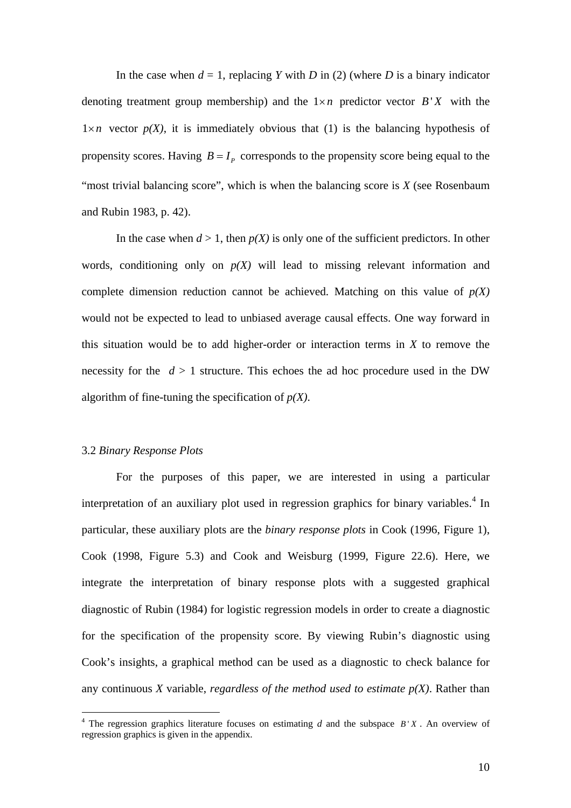In the case when  $d = 1$ , replacing *Y* with *D* in (2) (where *D* is a binary indicator denoting treatment group membership) and the  $1 \times n$  predictor vector  $B'X$  with the  $1 \times n$  vector  $p(X)$ , it is immediately obvious that (1) is the balancing hypothesis of propensity scores. Having  $B = I_p$  corresponds to the propensity score being equal to the "most trivial balancing score", which is when the balancing score is *X* (see Rosenbaum and Rubin 1983, p. 42).

In the case when  $d > 1$ , then  $p(X)$  is only one of the sufficient predictors. In other words, conditioning only on  $p(X)$  will lead to missing relevant information and complete dimension reduction cannot be achieved. Matching on this value of  $p(X)$ would not be expected to lead to unbiased average causal effects. One way forward in this situation would be to add higher-order or interaction terms in *X* to remove the necessity for the  $d > 1$  structure. This echoes the ad hoc procedure used in the DW algorithm of fine-tuning the specification of *p(X)*.

### 3.2 *Binary Response Plots*

 $\overline{a}$ 

For the purposes of this paper, we are interested in using a particular interpretation of an auxiliary plot used in regression graphics for binary variables.<sup>[4](#page-9-0)</sup> In particular, these auxiliary plots are the *binary response plots* in Cook (1996, Figure 1), Cook (1998, Figure 5.3) and Cook and Weisburg (1999, Figure 22.6). Here, we integrate the interpretation of binary response plots with a suggested graphical diagnostic of Rubin (1984) for logistic regression models in order to create a diagnostic for the specification of the propensity score. By viewing Rubin's diagnostic using Cook's insights, a graphical method can be used as a diagnostic to check balance for any continuous *X* variable, *regardless of the method used to estimate*  $p(X)$ . Rather than

<span id="page-9-0"></span><sup>&</sup>lt;sup>4</sup> The regression graphics literature focuses on estimating  $d$  and the subspace  $B'X$ . An overview of regression graphics is given in the appendix.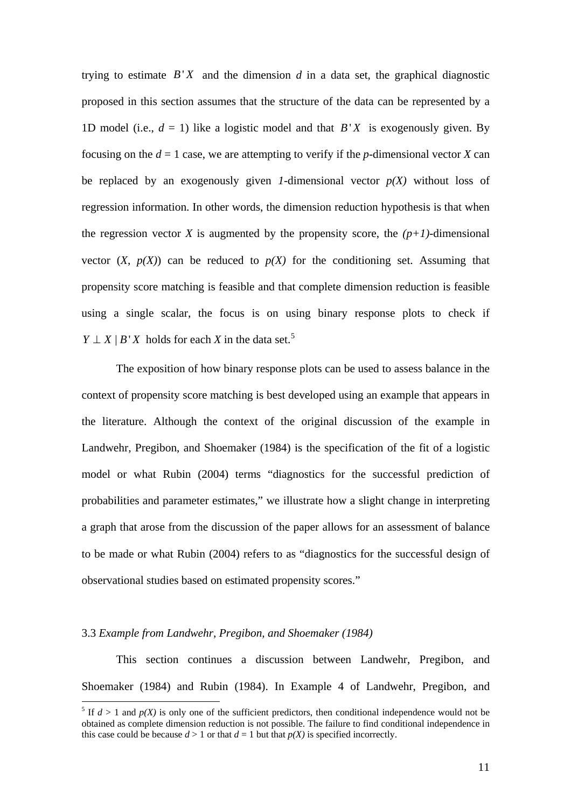trying to estimate  $B'X$  and the dimension  $d$  in a data set, the graphical diagnostic proposed in this section assumes that the structure of the data can be represented by a 1D model (i.e.,  $d = 1$ ) like a logistic model and that  $B'X$  is exogenously given. By focusing on the  $d = 1$  case, we are attempting to verify if the *p*-dimensional vector *X* can be replaced by an exogenously given *1*-dimensional vector  $p(X)$  without loss of regression information. In other words, the dimension reduction hypothesis is that when the regression vector *X* is augmented by the propensity score, the  $(p+1)$ -dimensional vector  $(X, p(X))$  can be reduced to  $p(X)$  for the conditioning set. Assuming that propensity score matching is feasible and that complete dimension reduction is feasible using a single scalar, the focus is on using binary response plots to check if *Y*  $\perp$  *X* | *B' X* holds for each *X* in the data set.<sup>[5](#page-10-0)</sup>

The exposition of how binary response plots can be used to assess balance in the context of propensity score matching is best developed using an example that appears in the literature. Although the context of the original discussion of the example in Landwehr, Pregibon, and Shoemaker (1984) is the specification of the fit of a logistic model or what Rubin (2004) terms "diagnostics for the successful prediction of probabilities and parameter estimates," we illustrate how a slight change in interpreting a graph that arose from the discussion of the paper allows for an assessment of balance to be made or what Rubin (2004) refers to as "diagnostics for the successful design of observational studies based on estimated propensity scores."

#### 3.3 *Example from Landwehr, Pregibon, and Shoemaker (1984)*

 $\overline{a}$ 

This section continues a discussion between Landwehr, Pregibon, and Shoemaker (1984) and Rubin (1984). In Example 4 of Landwehr, Pregibon, and

<span id="page-10-0"></span><sup>&</sup>lt;sup>5</sup> If  $d > 1$  and  $p(X)$  is only one of the sufficient predictors, then conditional independence would not be obtained as complete dimension reduction is not possible. The failure to find conditional independence in this case could be because  $d > 1$  or that  $d = 1$  but that  $p(X)$  is specified incorrectly.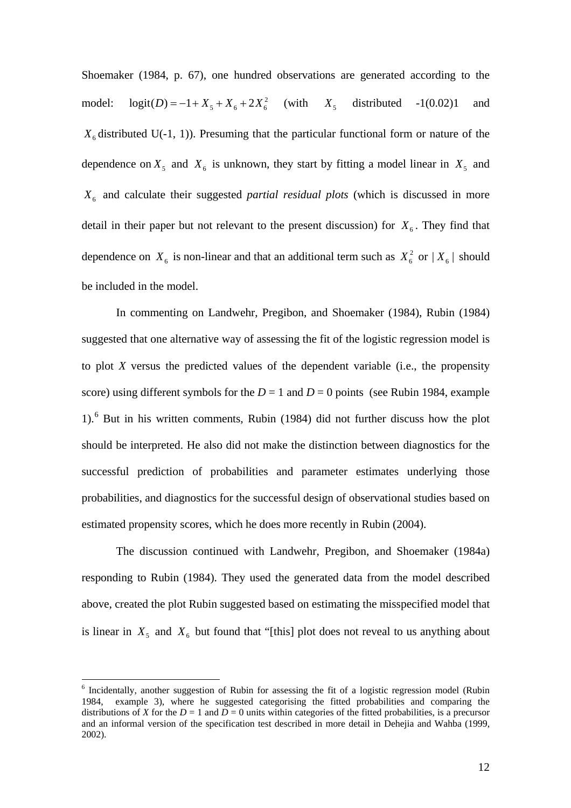Shoemaker (1984, p. 67), one hundred observations are generated according to the model:  $logit(D) = -1 + X_5 + X_6 + 2X_6^2$  (with  $X_5$  distributed -1(0.02)1 and  $X_6$  distributed U(-1, 1)). Presuming that the particular functional form or nature of the dependence on  $X_5$  and  $X_6$  is unknown, they start by fitting a model linear in  $X_5$  and *X*6 and calculate their suggested *partial residual plots* (which is discussed in more detail in their paper but not relevant to the present discussion) for  $X_6$ . They find that dependence on  $X_6$  is non-linear and that an additional term such as  $X_6^2$  or  $|X_6|$  should be included in the model.

In commenting on Landwehr, Pregibon, and Shoemaker (1984), Rubin (1984) suggested that one alternative way of assessing the fit of the logistic regression model is to plot *X* versus the predicted values of the dependent variable (i.e., the propensity score) using different symbols for the  $D = 1$  and  $D = 0$  points (see Rubin 1984, example 1).[6](#page-11-0) But in his written comments, Rubin (1984) did not further discuss how the plot should be interpreted. He also did not make the distinction between diagnostics for the successful prediction of probabilities and parameter estimates underlying those probabilities, and diagnostics for the successful design of observational studies based on estimated propensity scores, which he does more recently in Rubin (2004).

The discussion continued with Landwehr, Pregibon, and Shoemaker (1984a) responding to Rubin (1984). They used the generated data from the model described above, created the plot Rubin suggested based on estimating the misspecified model that is linear in  $X_5$  and  $X_6$  but found that "[this] plot does not reveal to us anything about

 $\overline{a}$ 

<span id="page-11-0"></span><sup>&</sup>lt;sup>6</sup> Incidentally, another suggestion of Rubin for assessing the fit of a logistic regression model (Rubin 1984, example 3), where he suggested categorising the fitted probabilities and comparing the distributions of *X* for the *D* = 1 and  $\overline{D}$  = 0 units within categories of the fitted probabilities, is a precursor and an informal version of the specification test described in more detail in Dehejia and Wahba (1999, 2002).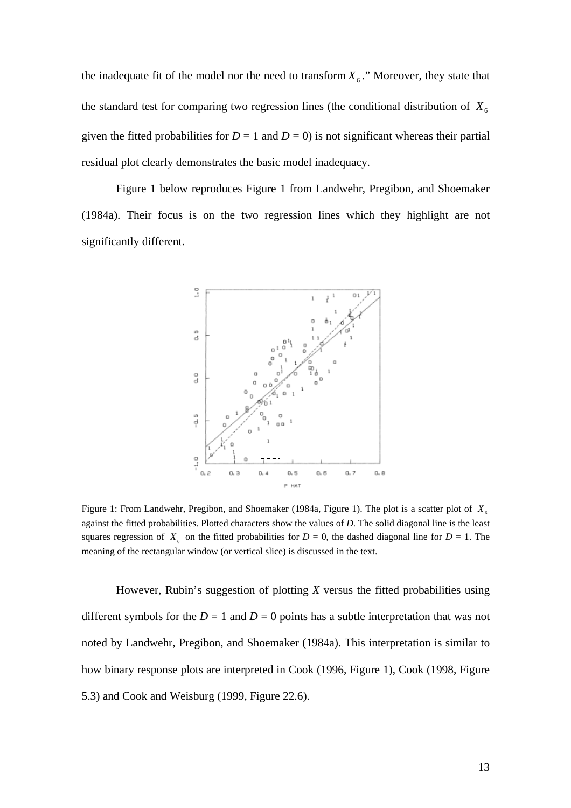the inadequate fit of the model nor the need to transform  $X_6$ ." Moreover, they state that the standard test for comparing two regression lines (the conditional distribution of  $X_6$ given the fitted probabilities for  $D = 1$  and  $D = 0$ ) is not significant whereas their partial residual plot clearly demonstrates the basic model inadequacy.

Figure 1 below reproduces Figure 1 from Landwehr, Pregibon, and Shoemaker (1984a). Their focus is on the two regression lines which they highlight are not significantly different.



Figure 1: From Landwehr, Pregibon, and Shoemaker (1984a, Figure 1). The plot is a scatter plot of  $X_{\epsilon}$ against the fitted probabilities. Plotted characters show the values of *D*. The solid diagonal line is the least squares regression of  $X<sub>6</sub>$  on the fitted probabilities for  $D = 0$ , the dashed diagonal line for  $D = 1$ . The meaning of the rectangular window (or vertical slice) is discussed in the text.

However, Rubin's suggestion of plotting *X* versus the fitted probabilities using different symbols for the  $D = 1$  and  $D = 0$  points has a subtle interpretation that was not noted by Landwehr, Pregibon, and Shoemaker (1984a). This interpretation is similar to how binary response plots are interpreted in Cook (1996, Figure 1), Cook (1998, Figure 5.3) and Cook and Weisburg (1999, Figure 22.6).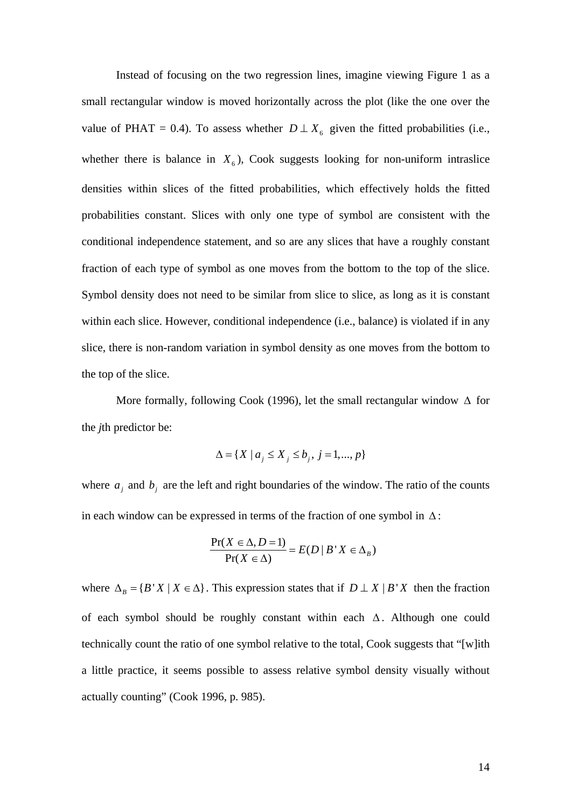Instead of focusing on the two regression lines, imagine viewing Figure 1 as a small rectangular window is moved horizontally across the plot (like the one over the value of PHAT = 0.4). To assess whether  $D \perp X_6$  given the fitted probabilities (i.e., whether there is balance in  $X_6$ ), Cook suggests looking for non-uniform intraslice densities within slices of the fitted probabilities, which effectively holds the fitted probabilities constant. Slices with only one type of symbol are consistent with the conditional independence statement, and so are any slices that have a roughly constant fraction of each type of symbol as one moves from the bottom to the top of the slice. Symbol density does not need to be similar from slice to slice, as long as it is constant within each slice. However, conditional independence (i.e., balance) is violated if in any slice, there is non-random variation in symbol density as one moves from the bottom to the top of the slice.

More formally, following Cook (1996), let the small rectangular window  $\Delta$  for the *j*th predictor be:

$$
\Delta = \{ X \mid a_j \le X_j \le b_j, j = 1, ..., p \}
$$

where  $a_j$  and  $b_j$  are the left and right boundaries of the window. The ratio of the counts in each window can be expressed in terms of the fraction of one symbol in  $\Delta$ :

$$
\frac{\Pr(X \in \Delta, D = 1)}{\Pr(X \in \Delta)} = E(D \mid B \mid X \in \Delta_B)
$$

where  $\Delta_B = \{ B' X | X \in \Delta \}$ . This expression states that if  $D \perp X | B'X$  then the fraction of each symbol should be roughly constant within each  $\Delta$ . Although one could technically count the ratio of one symbol relative to the total, Cook suggests that "[w]ith a little practice, it seems possible to assess relative symbol density visually without actually counting" (Cook 1996, p. 985).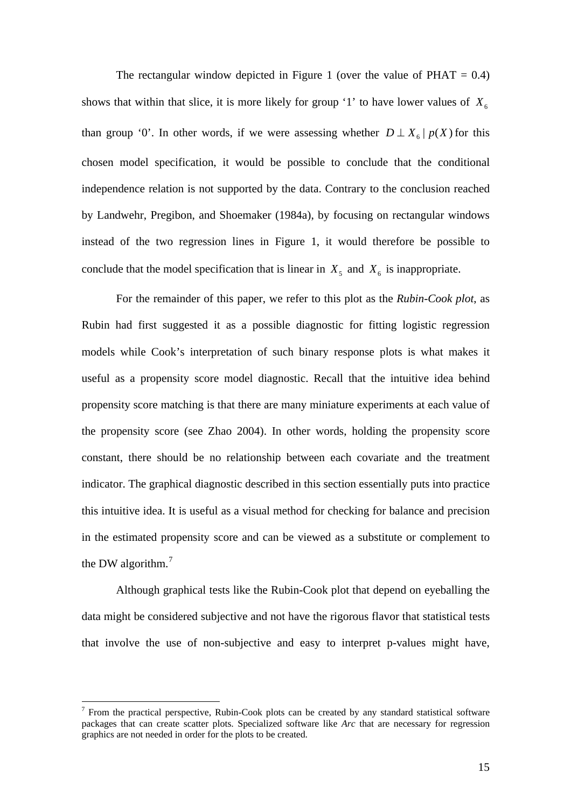The rectangular window depicted in Figure 1 (over the value of  $PHAT = 0.4$ ) shows that within that slice, it is more likely for group '1' to have lower values of  $X_6$ than group '0'. In other words, if we were assessing whether  $D \perp X_6 | p(X)$  for this chosen model specification, it would be possible to conclude that the conditional independence relation is not supported by the data. Contrary to the conclusion reached by Landwehr, Pregibon, and Shoemaker (1984a), by focusing on rectangular windows instead of the two regression lines in Figure 1, it would therefore be possible to conclude that the model specification that is linear in  $X_5$  and  $X_6$  is inappropriate.

For the remainder of this paper, we refer to this plot as the *Rubin-Cook plot*, as Rubin had first suggested it as a possible diagnostic for fitting logistic regression models while Cook's interpretation of such binary response plots is what makes it useful as a propensity score model diagnostic. Recall that the intuitive idea behind propensity score matching is that there are many miniature experiments at each value of the propensity score (see Zhao 2004). In other words, holding the propensity score constant, there should be no relationship between each covariate and the treatment indicator. The graphical diagnostic described in this section essentially puts into practice this intuitive idea. It is useful as a visual method for checking for balance and precision in the estimated propensity score and can be viewed as a substitute or complement to the DW algorithm. $<sup>7</sup>$  $<sup>7</sup>$  $<sup>7</sup>$ </sup>

Although graphical tests like the Rubin-Cook plot that depend on eyeballing the data might be considered subjective and not have the rigorous flavor that statistical tests that involve the use of non-subjective and easy to interpret p-values might have,

 $\overline{a}$ 

<span id="page-14-0"></span><sup>7</sup> From the practical perspective, Rubin-Cook plots can be created by any standard statistical software packages that can create scatter plots. Specialized software like *Arc* that are necessary for regression graphics are not needed in order for the plots to be created.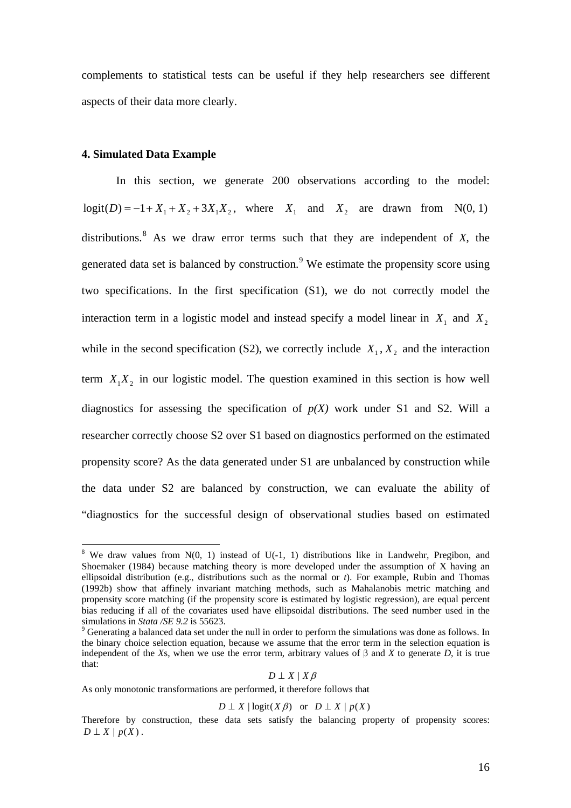complements to statistical tests can be useful if they help researchers see different aspects of their data more clearly.

## **4. Simulated Data Example**

 $\overline{a}$ 

In this section, we generate 200 observations according to the model:  $logit(D) = -1 + X_1 + X_2 + 3X_1X_2$ , where  $X_1$  and  $X_2$  are drawn from N(0, 1) distributions.<sup>[8](#page-15-0)</sup> As we draw error terms such that they are independent of  $X$ , the generated data set is balanced by construction.  $9$  We estimate the propensity score using two specifications. In the first specification (S1), we do not correctly model the interaction term in a logistic model and instead specify a model linear in  $X_1$  and  $X_2$ while in the second specification (S2), we correctly include  $X_1, X_2$  and the interaction term  $X_1 X_2$  in our logistic model. The question examined in this section is how well diagnostics for assessing the specification of  $p(X)$  work under S1 and S2. Will a researcher correctly choose S2 over S1 based on diagnostics performed on the estimated propensity score? As the data generated under S1 are unbalanced by construction while the data under S2 are balanced by construction, we can evaluate the ability of "diagnostics for the successful design of observational studies based on estimated

$$
D\perp X\mid X\beta
$$

As only monotonic transformations are performed, it therefore follows that

$$
D \perp X \mid \text{logit}(X \beta) \quad \text{or} \quad D \perp X \mid p(X)
$$

<span id="page-15-0"></span><sup>&</sup>lt;sup>8</sup> We draw values from  $N(0, 1)$  instead of U(-1, 1) distributions like in Landwehr, Pregibon, and Shoemaker (1984) because matching theory is more developed under the assumption of X having an ellipsoidal distribution (e.g., distributions such as the normal or *t*). For example, Rubin and Thomas (1992b) show that affinely invariant matching methods, such as Mahalanobis metric matching and propensity score matching (if the propensity score is estimated by logistic regression), are equal percent bias reducing if all of the covariates used have ellipsoidal distributions. The seed number used in the simulations in *Stata /SE* 9.2 is 55623.

<span id="page-15-1"></span><sup>&</sup>lt;sup>9</sup> Generating a balanced data set under the null in order to perform the simulations was done as follows. In the binary choice selection equation, because we assume that the error term in the selection equation is independent of the *X*s, when we use the error term, arbitrary values of  $\beta$  and *X* to generate *D*, it is true that:

Therefore by construction, these data sets satisfy the balancing property of propensity scores:  $D \perp X \mid p(X)$ .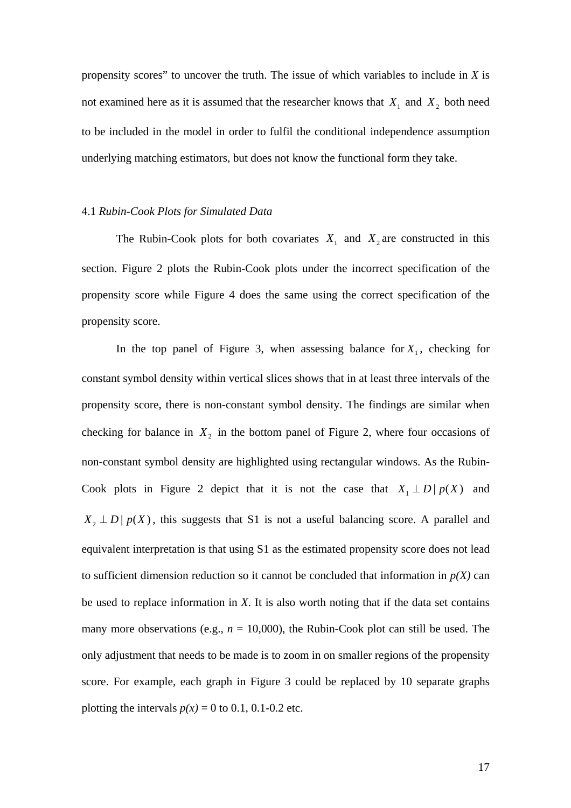propensity scores" to uncover the truth. The issue of which variables to include in *X* is not examined here as it is assumed that the researcher knows that  $X_1$  and  $X_2$  both need to be included in the model in order to fulfil the conditional independence assumption underlying matching estimators, but does not know the functional form they take.

#### 4.1 *Rubin-Cook Plots for Simulated Data*

The Rubin-Cook plots for both covariates  $X_1$  and  $X_2$  are constructed in this section. Figure 2 plots the Rubin-Cook plots under the incorrect specification of the propensity score while Figure 4 does the same using the correct specification of the propensity score.

In the top panel of Figure 3, when assessing balance for  $X_1$ , checking for constant symbol density within vertical slices shows that in at least three intervals of the propensity score, there is non-constant symbol density. The findings are similar when checking for balance in  $X_2$  in the bottom panel of Figure 2, where four occasions of non-constant symbol density are highlighted using rectangular windows. As the Rubin-Cook plots in Figure 2 depict that it is not the case that  $X_1 \perp D | p(X)$  and  $X_2 \perp D$  |  $p(X)$ , this suggests that S1 is not a useful balancing score. A parallel and equivalent interpretation is that using S1 as the estimated propensity score does not lead to sufficient dimension reduction so it cannot be concluded that information in  $p(X)$  can be used to replace information in *X*. It is also worth noting that if the data set contains many more observations (e.g.,  $n = 10,000$ ), the Rubin-Cook plot can still be used. The only adjustment that needs to be made is to zoom in on smaller regions of the propensity score. For example, each graph in Figure 3 could be replaced by 10 separate graphs plotting the intervals  $p(x) = 0$  to 0.1, 0.1-0.2 etc.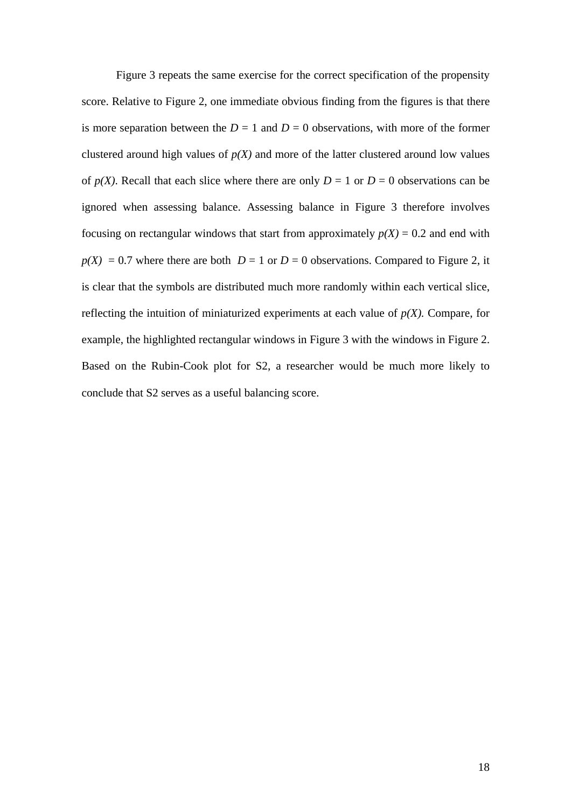Figure 3 repeats the same exercise for the correct specification of the propensity score. Relative to Figure 2, one immediate obvious finding from the figures is that there is more separation between the  $D = 1$  and  $D = 0$  observations, with more of the former clustered around high values of  $p(X)$  and more of the latter clustered around low values of  $p(X)$ . Recall that each slice where there are only  $D = 1$  or  $D = 0$  observations can be ignored when assessing balance. Assessing balance in Figure 3 therefore involves focusing on rectangular windows that start from approximately  $p(X) = 0.2$  and end with  $p(X) = 0.7$  where there are both  $D = 1$  or  $D = 0$  observations. Compared to Figure 2, it is clear that the symbols are distributed much more randomly within each vertical slice, reflecting the intuition of miniaturized experiments at each value of  $p(X)$ . Compare, for example, the highlighted rectangular windows in Figure 3 with the windows in Figure 2. Based on the Rubin-Cook plot for S2, a researcher would be much more likely to conclude that S2 serves as a useful balancing score.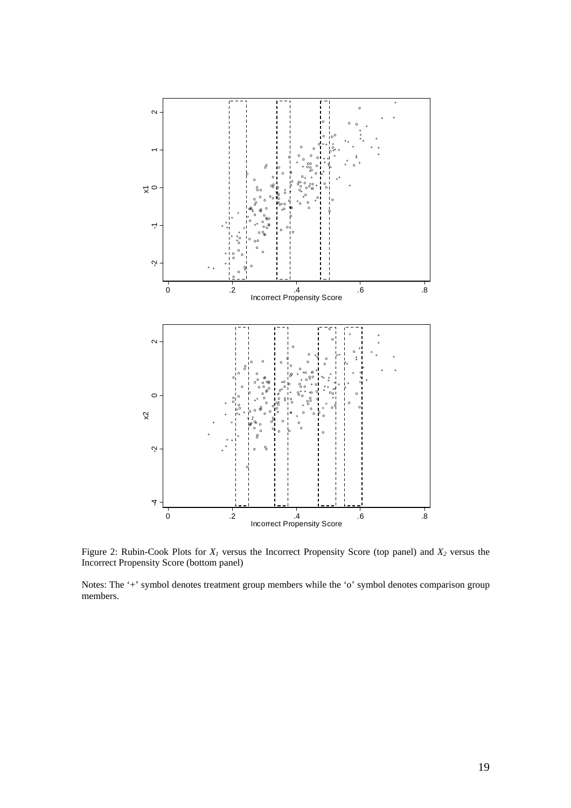

Figure 2: Rubin-Cook Plots for *X1* versus the Incorrect Propensity Score (top panel) and *X2* versus the Incorrect Propensity Score (bottom panel)

Notes: The '+' symbol denotes treatment group members while the 'o' symbol denotes comparison group members.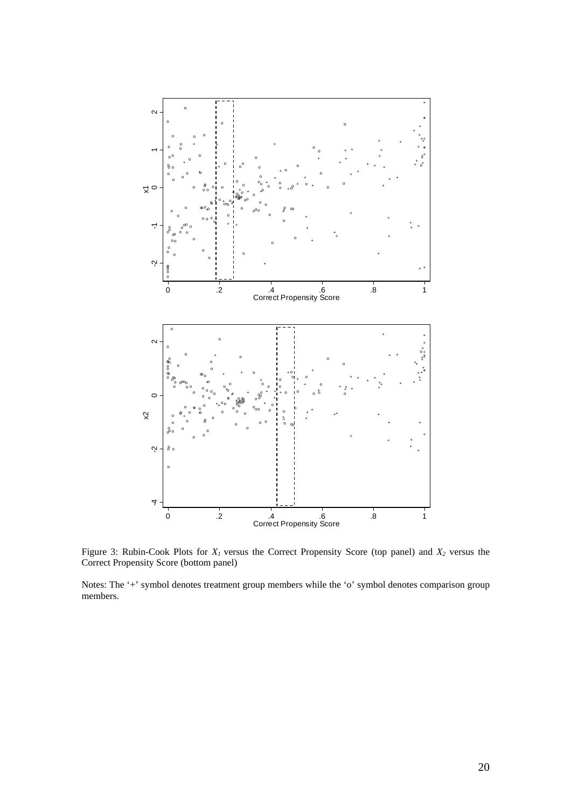

Figure 3: Rubin-Cook Plots for  $X<sub>I</sub>$  versus the Correct Propensity Score (top panel) and  $X<sub>2</sub>$  versus the Correct Propensity Score (bottom panel)

Notes: The '+' symbol denotes treatment group members while the 'o' symbol denotes comparison group members.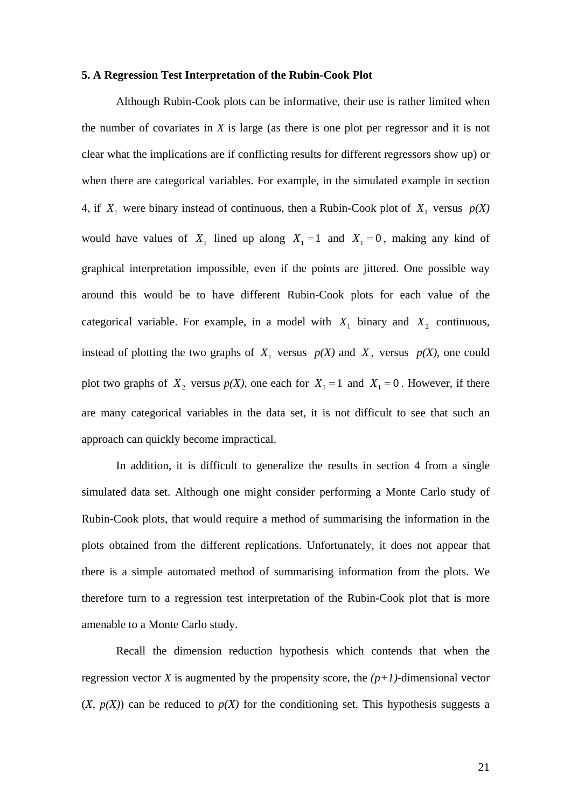#### **5. A Regression Test Interpretation of the Rubin-Cook Plot**

Although Rubin-Cook plots can be informative, their use is rather limited when the number of covariates in *X* is large (as there is one plot per regressor and it is not clear what the implications are if conflicting results for different regressors show up) or when there are categorical variables. For example, in the simulated example in section 4, if  $X_1$  were binary instead of continuous, then a Rubin-Cook plot of  $X_1$  versus  $p(X)$ would have values of  $X_1$  lined up along  $X_1 = 1$  and  $X_1 = 0$ , making any kind of graphical interpretation impossible, even if the points are jittered. One possible way around this would be to have different Rubin-Cook plots for each value of the categorical variable. For example, in a model with  $X_1$  binary and  $X_2$  continuous, instead of plotting the two graphs of  $X_1$  versus  $p(X)$  and  $X_2$  versus  $p(X)$ , one could plot two graphs of  $X_2$  versus  $p(X)$ , one each for  $X_1 = 1$  and  $X_1 = 0$ . However, if there are many categorical variables in the data set, it is not difficult to see that such an approach can quickly become impractical.

In addition, it is difficult to generalize the results in section 4 from a single simulated data set. Although one might consider performing a Monte Carlo study of Rubin-Cook plots, that would require a method of summarising the information in the plots obtained from the different replications. Unfortunately, it does not appear that there is a simple automated method of summarising information from the plots. We therefore turn to a regression test interpretation of the Rubin-Cook plot that is more amenable to a Monte Carlo study.

Recall the dimension reduction hypothesis which contends that when the regression vector *X* is augmented by the propensity score, the  $(p+1)$ -dimensional vector  $(X, p(X))$  can be reduced to  $p(X)$  for the conditioning set. This hypothesis suggests a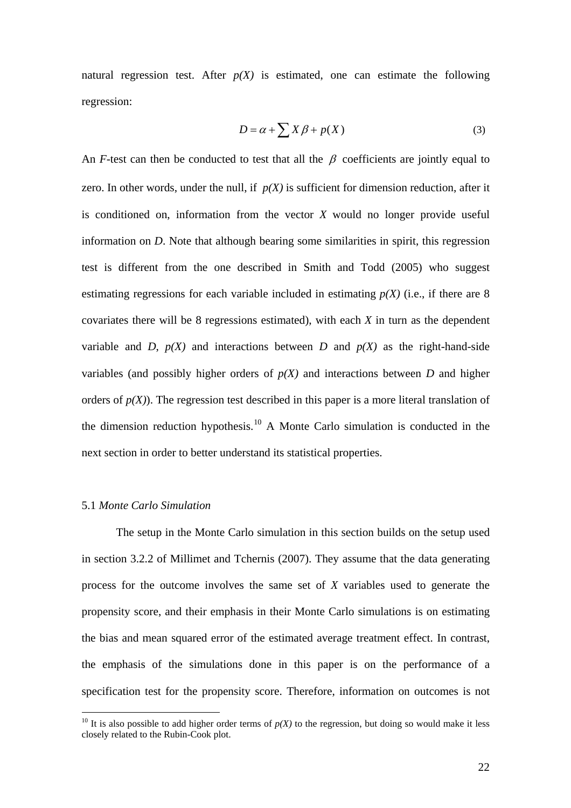natural regression test. After  $p(X)$  is estimated, one can estimate the following regression:

$$
D = \alpha + \sum X \beta + p(X) \tag{3}
$$

An *F*-test can then be conducted to test that all the  $\beta$  coefficients are jointly equal to zero. In other words, under the null, if  $p(X)$  is sufficient for dimension reduction, after it is conditioned on, information from the vector *X* would no longer provide useful information on *D*. Note that although bearing some similarities in spirit, this regression test is different from the one described in Smith and Todd (2005) who suggest estimating regressions for each variable included in estimating  $p(X)$  (i.e., if there are 8 covariates there will be 8 regressions estimated), with each *X* in turn as the dependent variable and *D*,  $p(X)$  and interactions between *D* and  $p(X)$  as the right-hand-side variables (and possibly higher orders of  $p(X)$  and interactions between *D* and higher orders of  $p(X)$ ). The regression test described in this paper is a more literal translation of the dimension reduction hypothesis.<sup>[10](#page-21-0)</sup> A Monte Carlo simulation is conducted in the next section in order to better understand its statistical properties.

#### 5.1 *Monte Carlo Simulation*

 $\overline{a}$ 

 The setup in the Monte Carlo simulation in this section builds on the setup used in section 3.2.2 of Millimet and Tchernis (2007). They assume that the data generating process for the outcome involves the same set of *X* variables used to generate the propensity score, and their emphasis in their Monte Carlo simulations is on estimating the bias and mean squared error of the estimated average treatment effect. In contrast, the emphasis of the simulations done in this paper is on the performance of a specification test for the propensity score. Therefore, information on outcomes is not

<span id="page-21-0"></span><sup>&</sup>lt;sup>10</sup> It is also possible to add higher order terms of  $p(X)$  to the regression, but doing so would make it less closely related to the Rubin-Cook plot.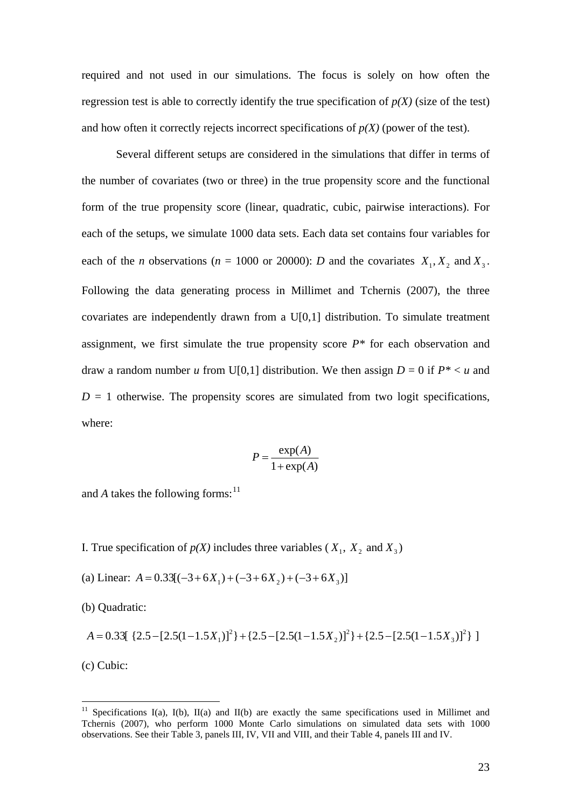required and not used in our simulations. The focus is solely on how often the regression test is able to correctly identify the true specification of  $p(X)$  (size of the test) and how often it correctly rejects incorrect specifications of  $p(X)$  (power of the test).

Several different setups are considered in the simulations that differ in terms of the number of covariates (two or three) in the true propensity score and the functional form of the true propensity score (linear, quadratic, cubic, pairwise interactions). For each of the setups, we simulate 1000 data sets. Each data set contains four variables for each of the *n* observations ( $n = 1000$  or 20000): *D* and the covariates  $X_1, X_2$  and  $X_3$ . Following the data generating process in Millimet and Tchernis (2007), the three covariates are independently drawn from a U[0,1] distribution. To simulate treatment assignment, we first simulate the true propensity score  $P^*$  for each observation and draw a random number *u* from U[0,1] distribution. We then assign  $D = 0$  if  $P^* < u$  and  $D = 1$  otherwise. The propensity scores are simulated from two logit specifications, where:

$$
P = \frac{\exp(A)}{1 + \exp(A)}
$$

and *A* takes the following forms:  $11$ 

I. True specification of  $p(X)$  includes three variables ( $X_1, X_2$  and  $X_3$ )

(a) Linear:  $A = 0.33[(-3+6X_1)+(-3+6X_2)+(-3+6X_3)]$ 

(b) Quadratic:

$$
A = 0.33[ \{2.5 - [2.5(1 - 1.5X_1)]^2\} + \{2.5 - [2.5(1 - 1.5X_2)]^2\} + \{2.5 - [2.5(1 - 1.5X_3)]^2\} ]
$$

(c) Cubic:

 $\overline{a}$ 

<span id="page-22-0"></span><sup>&</sup>lt;sup>11</sup> Specifications I(a), I(b), II(a) and II(b) are exactly the same specifications used in Millimet and Tchernis (2007), who perform 1000 Monte Carlo simulations on simulated data sets with 1000 observations. See their Table 3, panels III, IV, VII and VIII, and their Table 4, panels III and IV.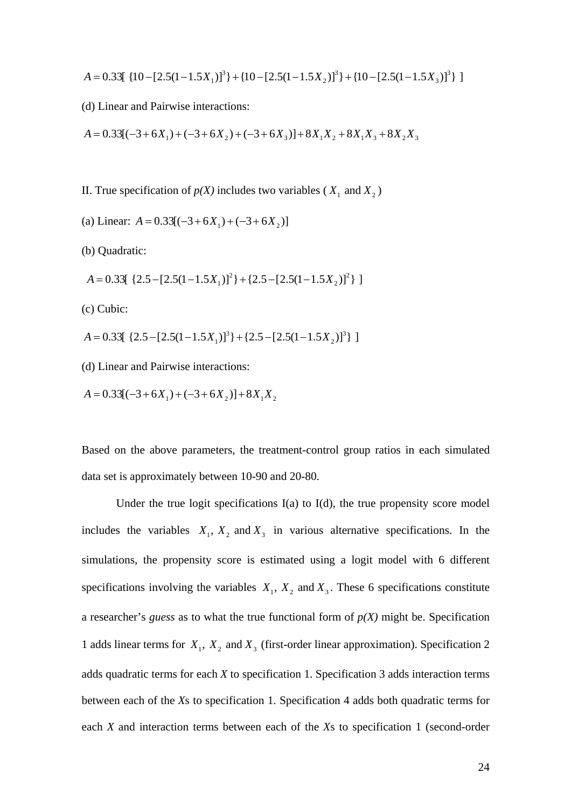$$
A = 0.33[ \{10 - [2.5(1 - 1.5X_1)]^3\} + \{10 - [2.5(1 - 1.5X_2)]^3\} + \{10 - [2.5(1 - 1.5X_3)]^3\} ]
$$

(d) Linear and Pairwise interactions:

$$
A = 0.33[(-3+6X_1) + (-3+6X_2) + (-3+6X_3)] + 8X_1X_2 + 8X_1X_3 + 8X_2X_3
$$

- II. True specification of  $p(X)$  includes two variables ( $X_1$  and  $X_2$ )
- (a) Linear:  $A = 0.33[(-3+6X_1)+(-3+6X_2)]$
- (b) Quadratic:
- $A = 0.33[ \{2.5 [2.5(1 1.5X_1)]^2\} + \{2.5 [2.5(1 1.5X_2)]^2\} ]$
- (c) Cubic:
- $A = 0.33[ \{2.5 [2.5(1 1.5X_1)]^3\} + [2.5 [2.5(1 1.5X_2)]^3 \} ]$
- (d) Linear and Pairwise interactions:
- $A = 0.33[(-3+6X_1)+(-3+6X_2)]+8X_1X_2$

Based on the above parameters, the treatment-control group ratios in each simulated data set is approximately between 10-90 and 20-80.

 Under the true logit specifications I(a) to I(d), the true propensity score model includes the variables  $X_1, X_2$  and  $X_3$  in various alternative specifications. In the simulations, the propensity score is estimated using a logit model with 6 different specifications involving the variables  $X_1$ ,  $X_2$  and  $X_3$ . These 6 specifications constitute a researcher's *guess* as to what the true functional form of  $p(X)$  might be. Specification 1 adds linear terms for  $X_1$ ,  $X_2$  and  $X_3$  (first-order linear approximation). Specification 2 adds quadratic terms for each *X* to specification 1. Specification 3 adds interaction terms between each of the *X*s to specification 1. Specification 4 adds both quadratic terms for each *X* and interaction terms between each of the *X*s to specification 1 (second-order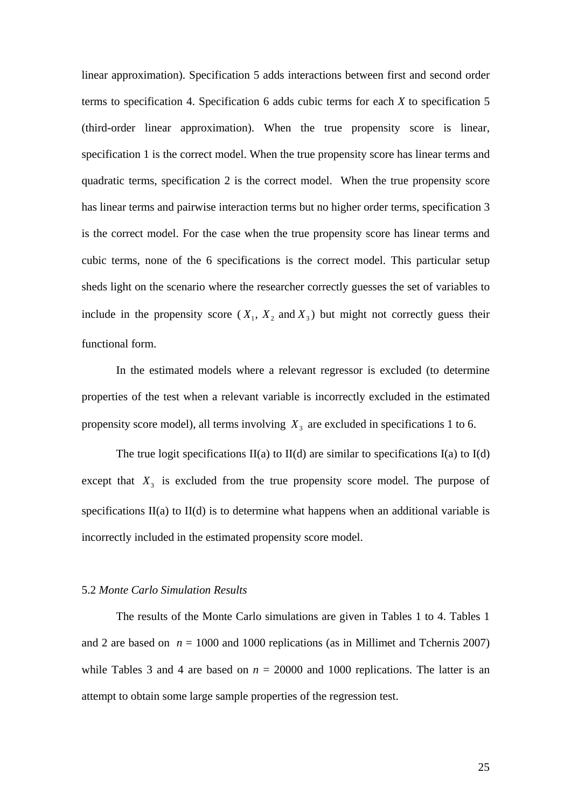linear approximation). Specification 5 adds interactions between first and second order terms to specification 4. Specification 6 adds cubic terms for each *X* to specification 5 (third-order linear approximation). When the true propensity score is linear, specification 1 is the correct model. When the true propensity score has linear terms and quadratic terms, specification 2 is the correct model. When the true propensity score has linear terms and pairwise interaction terms but no higher order terms, specification 3 is the correct model. For the case when the true propensity score has linear terms and cubic terms, none of the 6 specifications is the correct model. This particular setup sheds light on the scenario where the researcher correctly guesses the set of variables to include in the propensity score  $(X_1, X_2, X_3)$  but might not correctly guess their functional form.

In the estimated models where a relevant regressor is excluded (to determine properties of the test when a relevant variable is incorrectly excluded in the estimated propensity score model), all terms involving  $X_3$  are excluded in specifications 1 to 6.

The true logit specifications  $II(a)$  to  $II(d)$  are similar to specifications  $I(a)$  to  $I(d)$ except that  $X_3$  is excluded from the true propensity score model. The purpose of specifications  $II(a)$  to  $II(d)$  is to determine what happens when an additional variable is incorrectly included in the estimated propensity score model.

#### 5.2 *Monte Carlo Simulation Results*

The results of the Monte Carlo simulations are given in Tables 1 to 4. Tables 1 and 2 are based on  $n = 1000$  and 1000 replications (as in Millimet and Tchernis 2007) while Tables 3 and 4 are based on  $n = 20000$  and 1000 replications. The latter is an attempt to obtain some large sample properties of the regression test.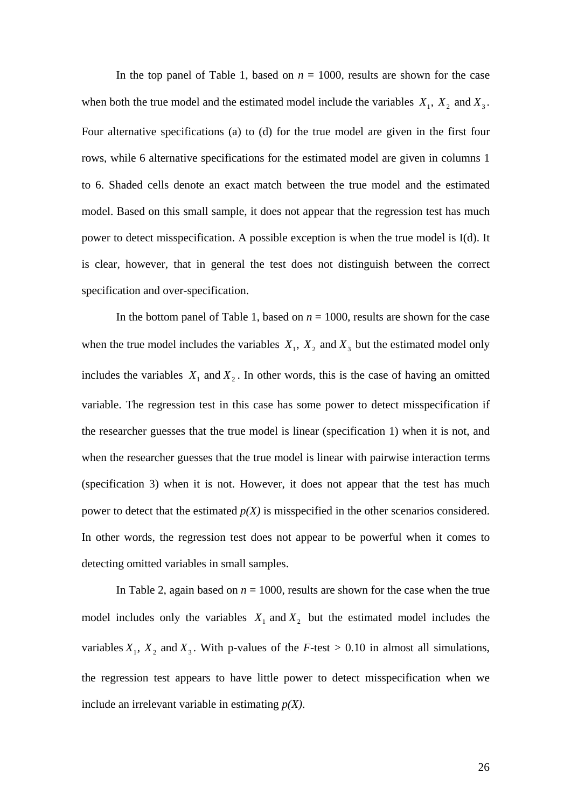In the top panel of Table 1, based on  $n = 1000$ , results are shown for the case when both the true model and the estimated model include the variables  $X_1$ ,  $X_2$  and  $X_3$ . Four alternative specifications (a) to (d) for the true model are given in the first four rows, while 6 alternative specifications for the estimated model are given in columns 1 to 6. Shaded cells denote an exact match between the true model and the estimated model. Based on this small sample, it does not appear that the regression test has much power to detect misspecification. A possible exception is when the true model is I(d). It is clear, however, that in general the test does not distinguish between the correct specification and over-specification.

In the bottom panel of Table 1, based on *n* = 1000, results are shown for the case when the true model includes the variables  $X_1$ ,  $X_2$  and  $X_3$  but the estimated model only includes the variables  $X_1$  and  $X_2$ . In other words, this is the case of having an omitted variable. The regression test in this case has some power to detect misspecification if the researcher guesses that the true model is linear (specification 1) when it is not, and when the researcher guesses that the true model is linear with pairwise interaction terms (specification 3) when it is not. However, it does not appear that the test has much power to detect that the estimated *p(X)* is misspecified in the other scenarios considered. In other words, the regression test does not appear to be powerful when it comes to detecting omitted variables in small samples.

In Table 2, again based on  $n = 1000$ , results are shown for the case when the true model includes only the variables  $X_1$  and  $X_2$  but the estimated model includes the variables  $X_1$ ,  $X_2$  and  $X_3$ . With p-values of the *F*-test > 0.10 in almost all simulations, the regression test appears to have little power to detect misspecification when we include an irrelevant variable in estimating *p(X)*.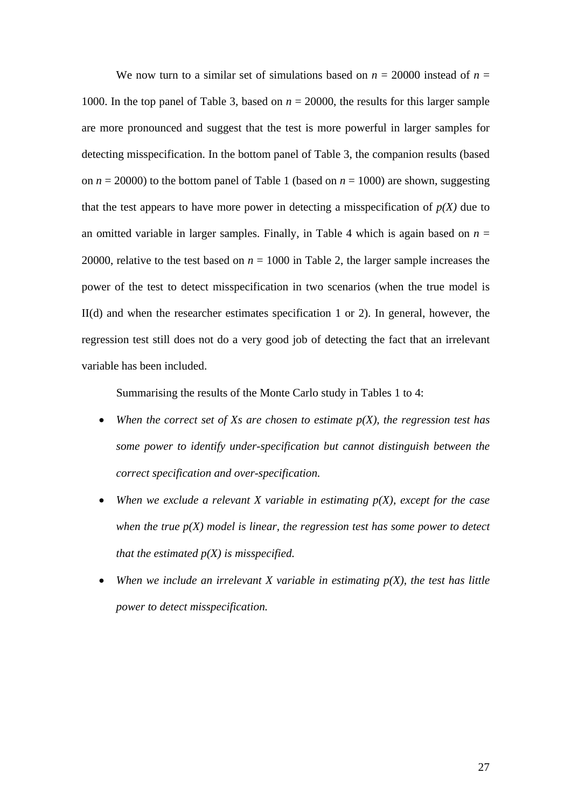We now turn to a similar set of simulations based on  $n = 20000$  instead of  $n =$ 1000. In the top panel of Table 3, based on  $n = 20000$ , the results for this larger sample are more pronounced and suggest that the test is more powerful in larger samples for detecting misspecification. In the bottom panel of Table 3, the companion results (based on  $n = 20000$ ) to the bottom panel of Table 1 (based on  $n = 1000$ ) are shown, suggesting that the test appears to have more power in detecting a misspecification of  $p(X)$  due to an omitted variable in larger samples. Finally, in Table 4 which is again based on  $n =$ 20000, relative to the test based on  $n = 1000$  in Table 2, the larger sample increases the power of the test to detect misspecification in two scenarios (when the true model is II(d) and when the researcher estimates specification 1 or 2). In general, however, the regression test still does not do a very good job of detecting the fact that an irrelevant variable has been included.

Summarising the results of the Monte Carlo study in Tables 1 to 4:

- *When the correct set of Xs are chosen to estimate p(X), the regression test has some power to identify under-specification but cannot distinguish between the correct specification and over-specification.*
- *When we exclude a relevant X variable in estimating p(X), except for the case when the true p(X) model is linear, the regression test has some power to detect that the estimated p(X) is misspecified.*
- When we include an irrelevant  $X$  variable in estimating  $p(X)$ , the test has little *power to detect misspecification.*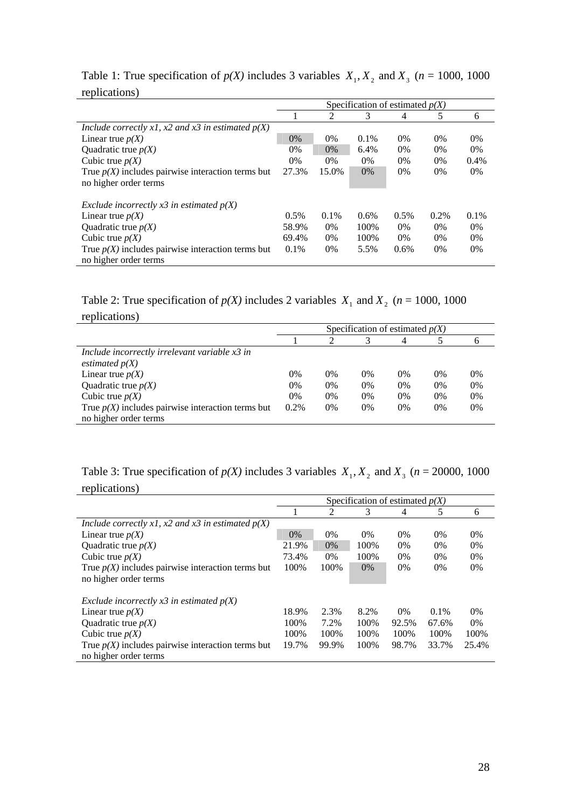|                                                     | Specification of estimated $p(X)$ |       |         |         |         |       |  |
|-----------------------------------------------------|-----------------------------------|-------|---------|---------|---------|-------|--|
|                                                     |                                   | 2     | 3       | 4       | 5       | 6     |  |
| Include correctly x1, x2 and x3 in estimated $p(X)$ |                                   |       |         |         |         |       |  |
| Linear true $p(X)$                                  | $0\%$                             | $0\%$ | $0.1\%$ | 0%      | $0\%$   | $0\%$ |  |
| Quadratic true $p(X)$                               | 0%                                | $0\%$ | 6.4%    | $0\%$   | $0\%$   | $0\%$ |  |
| Cubic true $p(X)$                                   | $0\%$                             | $0\%$ | 0%      | $0\%$   | $0\%$   | 0.4%  |  |
| True $p(X)$ includes pairwise interaction terms but | 27.3%                             | 15.0% | $0\%$   | 0%      | $0\%$   | $0\%$ |  |
| no higher order terms                               |                                   |       |         |         |         |       |  |
| Exclude incorrectly x3 in estimated $p(X)$          |                                   |       |         |         |         |       |  |
| Linear true $p(X)$                                  | 0.5%                              | 0.1%  | 0.6%    | $0.5\%$ | $0.2\%$ | 0.1%  |  |
| Quadratic true $p(X)$                               | 58.9%                             | $0\%$ | 100%    | 0%      | $0\%$   | $0\%$ |  |
| Cubic true $p(X)$                                   | 69.4%                             | $0\%$ | 100%    | $0\%$   | $0\%$   | $0\%$ |  |
| True $p(X)$ includes pairwise interaction terms but | $0.1\%$                           | $0\%$ | 5.5%    | $0.6\%$ | $0\%$   | $0\%$ |  |
| no higher order terms                               |                                   |       |         |         |         |       |  |

Table 1: True specification of  $p(X)$  includes 3 variables  $X_1, X_2$  and  $X_3$  ( $n = 1000, 1000$ replications)

Table 2: True specification of  $p(X)$  includes 2 variables  $X_1$  and  $X_2$  ( $n = 1000$ , 1000 replications)

|                                                                              | Specification of estimated $p(X)$ |       |       |       |       |       |  |
|------------------------------------------------------------------------------|-----------------------------------|-------|-------|-------|-------|-------|--|
|                                                                              |                                   |       |       |       |       |       |  |
| Include incorrectly irrelevant variable x3 in<br>estimated $p(X)$            |                                   |       |       |       |       |       |  |
| Linear true $p(X)$                                                           | $0\%$                             | 0%    | $0\%$ | $0\%$ | 0%    | $0\%$ |  |
| Quadratic true $p(X)$                                                        | 0%                                | 0%    | $0\%$ | $0\%$ | $0\%$ | 0%    |  |
| Cubic true $p(X)$                                                            | $0\%$                             | 0%    | $0\%$ | $0\%$ | 0%    | $0\%$ |  |
| True $p(X)$ includes pairwise interaction terms but<br>no higher order terms | $0.2\%$                           | $0\%$ | $0\%$ | $0\%$ | $0\%$ | 0%    |  |

# Table 3: True specification of  $p(X)$  includes 3 variables  $X_1, X_2$  and  $X_3$  ( $n = 20000, 1000$ replications)

|                                                     | Specification of estimated $p(X)$ |       |       |       |         |       |  |
|-----------------------------------------------------|-----------------------------------|-------|-------|-------|---------|-------|--|
|                                                     |                                   | 2     | 3     | 4     | 5       | 6     |  |
| Include correctly x1, x2 and x3 in estimated $p(X)$ |                                   |       |       |       |         |       |  |
| Linear true $p(X)$                                  | $0\%$                             | $0\%$ | $0\%$ | $0\%$ | $0\%$   | $0\%$ |  |
| Quadratic true $p(X)$                               | 21.9%                             | $0\%$ | 100%  | $0\%$ | $0\%$   | $0\%$ |  |
| Cubic true $p(X)$                                   | 73.4%                             | $0\%$ | 100%  | $0\%$ | 0%      | $0\%$ |  |
| True $p(X)$ includes pairwise interaction terms but | 100%                              | 100\% | $0\%$ | $0\%$ | $0\%$   | $0\%$ |  |
| no higher order terms                               |                                   |       |       |       |         |       |  |
| Exclude incorrectly $x3$ in estimated $p(X)$        |                                   |       |       |       |         |       |  |
| Linear true $p(X)$                                  | 18.9%                             | 2.3%  | 8.2%  | $0\%$ | $0.1\%$ | $0\%$ |  |
| Quadratic true $p(X)$                               | 100\%                             | 7.2%  | 100%  | 92.5% | 67.6%   | $0\%$ |  |
| Cubic true $p(X)$                                   | 100\%                             | 100\% | 100%  | 100\% | 100\%   | 100\% |  |
| True $p(X)$ includes pairwise interaction terms but | 19.7%                             | 99.9% | 100%  | 98.7% | 33.7%   | 25.4% |  |
| no higher order terms                               |                                   |       |       |       |         |       |  |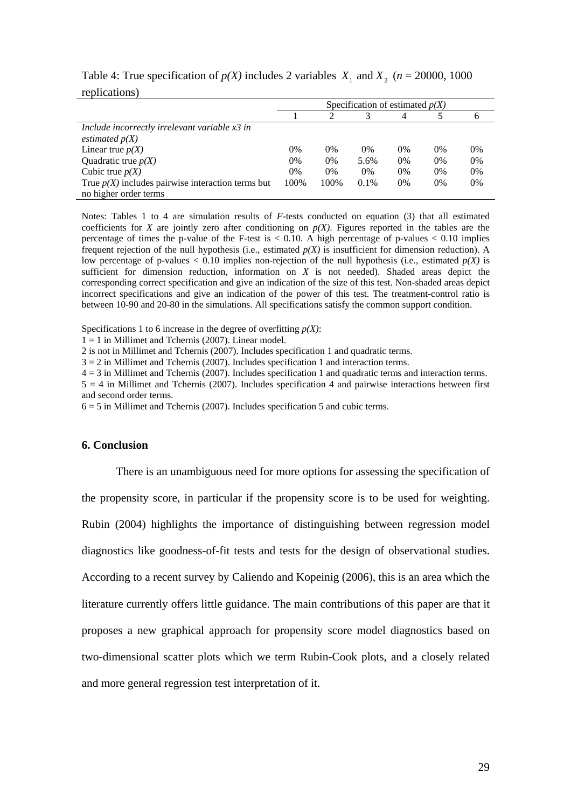|                                                     | Specification of estimated $p(X)$ |       |       |       |       |    |  |  |
|-----------------------------------------------------|-----------------------------------|-------|-------|-------|-------|----|--|--|
|                                                     |                                   |       |       | 4     |       |    |  |  |
| Include incorrectly irrelevant variable x3 in       |                                   |       |       |       |       |    |  |  |
| estimated $p(X)$                                    |                                   |       |       |       |       |    |  |  |
| Linear true $p(X)$                                  | 0%                                | $0\%$ | $0\%$ | $0\%$ | $0\%$ | 0% |  |  |
| Quadratic true $p(X)$                               | $0\%$                             | 0%    | 5.6%  | 0%    | $0\%$ | 0% |  |  |
| Cubic true $p(X)$                                   | $0\%$                             | $0\%$ | $0\%$ | 0%    | $0\%$ | 0% |  |  |
| True $p(X)$ includes pairwise interaction terms but | 100%                              | 100%  | 0.1%  | $0\%$ | $0\%$ | 0% |  |  |
| no higher order terms                               |                                   |       |       |       |       |    |  |  |

## Table 4: True specification of  $p(X)$  includes 2 variables  $X_1$  and  $X_2$  ( $n = 20000$ , 1000 replications)

Notes: Tables 1 to 4 are simulation results of *F*-tests conducted on equation (3) that all estimated coefficients for *X* are jointly zero after conditioning on  $p(X)$ . Figures reported in the tables are the percentage of times the p-value of the F-test is  $< 0.10$ . A high percentage of p-values  $< 0.10$  implies frequent rejection of the null hypothesis (i.e., estimated  $p(X)$  is insufficient for dimension reduction). A low percentage of p-values  $< 0.10$  implies non-rejection of the null hypothesis (i.e., estimated  $p(X)$  is sufficient for dimension reduction, information on  $X$  is not needed). Shaded areas depict the corresponding correct specification and give an indication of the size of this test. Non-shaded areas depict incorrect specifications and give an indication of the power of this test. The treatment-control ratio is between 10-90 and 20-80 in the simulations. All specifications satisfy the common support condition.

Specifications 1 to 6 increase in the degree of overfitting *p(X)*:

 $1 = 1$  in Millimet and Tchernis (2007). Linear model.

2 is not in Millimet and Tchernis (2007). Includes specification 1 and quadratic terms.

3 = 2 in Millimet and Tchernis (2007). Includes specification 1 and interaction terms.

4 = 3 in Millimet and Tchernis (2007). Includes specification 1 and quadratic terms and interaction terms.

 $5 = 4$  in Millimet and Tchernis (2007). Includes specification 4 and pairwise interactions between first and second order terms.

 $6 = 5$  in Millimet and Tchernis (2007). Includes specification 5 and cubic terms.

#### **6. Conclusion**

There is an unambiguous need for more options for assessing the specification of the propensity score, in particular if the propensity score is to be used for weighting. Rubin (2004) highlights the importance of distinguishing between regression model diagnostics like goodness-of-fit tests and tests for the design of observational studies. According to a recent survey by Caliendo and Kopeinig (2006), this is an area which the literature currently offers little guidance. The main contributions of this paper are that it proposes a new graphical approach for propensity score model diagnostics based on two-dimensional scatter plots which we term Rubin-Cook plots, and a closely related and more general regression test interpretation of it.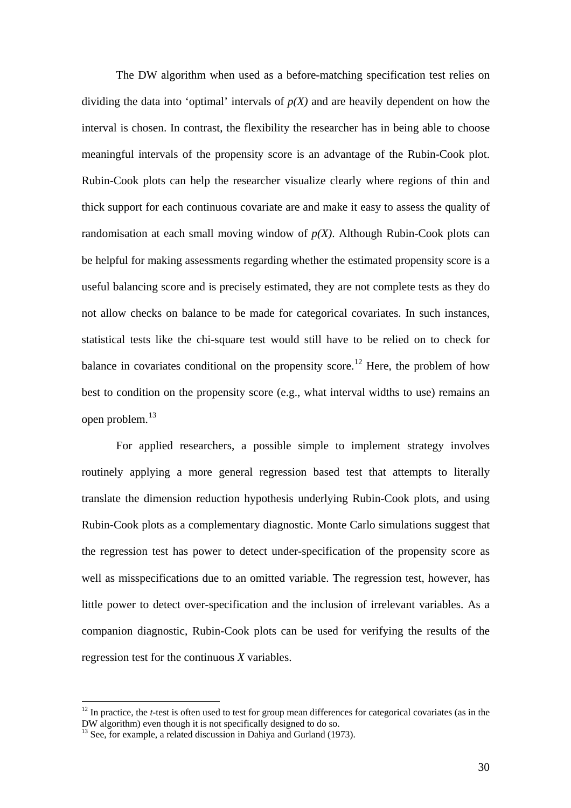The DW algorithm when used as a before-matching specification test relies on dividing the data into 'optimal' intervals of  $p(X)$  and are heavily dependent on how the interval is chosen. In contrast, the flexibility the researcher has in being able to choose meaningful intervals of the propensity score is an advantage of the Rubin-Cook plot. Rubin-Cook plots can help the researcher visualize clearly where regions of thin and thick support for each continuous covariate are and make it easy to assess the quality of randomisation at each small moving window of  $p(X)$ . Although Rubin-Cook plots can be helpful for making assessments regarding whether the estimated propensity score is a useful balancing score and is precisely estimated, they are not complete tests as they do not allow checks on balance to be made for categorical covariates. In such instances, statistical tests like the chi-square test would still have to be relied on to check for balance in covariates conditional on the propensity score.<sup>[12](#page-29-0)</sup> Here, the problem of how best to condition on the propensity score (e.g., what interval widths to use) remains an open problem.[13](#page-29-1)

 For applied researchers, a possible simple to implement strategy involves routinely applying a more general regression based test that attempts to literally translate the dimension reduction hypothesis underlying Rubin-Cook plots, and using Rubin-Cook plots as a complementary diagnostic. Monte Carlo simulations suggest that the regression test has power to detect under-specification of the propensity score as well as misspecifications due to an omitted variable. The regression test, however, has little power to detect over-specification and the inclusion of irrelevant variables. As a companion diagnostic, Rubin-Cook plots can be used for verifying the results of the regression test for the continuous *X* variables.

 $\overline{a}$ 

<span id="page-29-0"></span><sup>&</sup>lt;sup>12</sup> In practice, the *t*-test is often used to test for group mean differences for categorical covariates (as in the DW algorithm) even though it is not specifically designed to do so.

<span id="page-29-1"></span> $^{13}$  See, for example, a related discussion in Dahiya and Gurland (1973).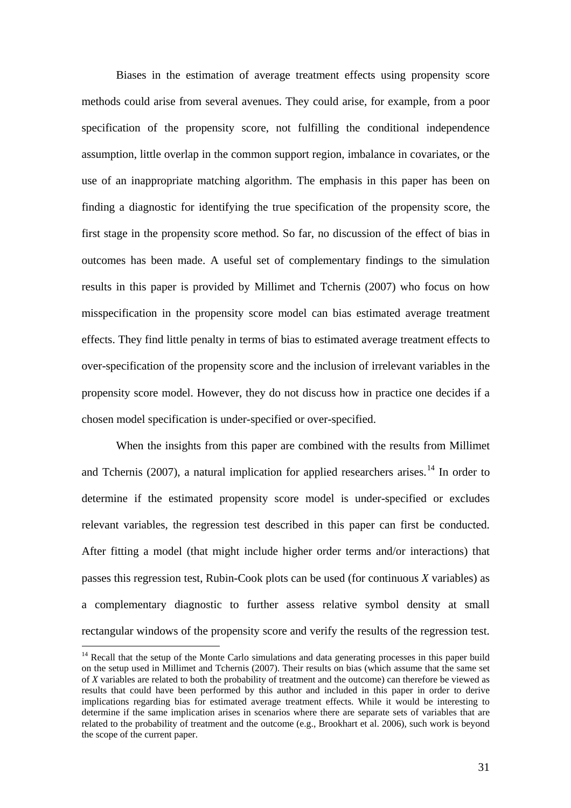Biases in the estimation of average treatment effects using propensity score methods could arise from several avenues. They could arise, for example, from a poor specification of the propensity score, not fulfilling the conditional independence assumption, little overlap in the common support region, imbalance in covariates, or the use of an inappropriate matching algorithm. The emphasis in this paper has been on finding a diagnostic for identifying the true specification of the propensity score, the first stage in the propensity score method. So far, no discussion of the effect of bias in outcomes has been made. A useful set of complementary findings to the simulation results in this paper is provided by Millimet and Tchernis (2007) who focus on how misspecification in the propensity score model can bias estimated average treatment effects. They find little penalty in terms of bias to estimated average treatment effects to over-specification of the propensity score and the inclusion of irrelevant variables in the propensity score model. However, they do not discuss how in practice one decides if a chosen model specification is under-specified or over-specified.

When the insights from this paper are combined with the results from Millimet and Tchernis (2007), a natural implication for applied researchers arises.<sup>[1](#page-30-0)4</sup> In order to determine if the estimated propensity score model is under-specified or excludes relevant variables, the regression test described in this paper can first be conducted. After fitting a model (that might include higher order terms and/or interactions) that passes this regression test, Rubin-Cook plots can be used (for continuous *X* variables) as a complementary diagnostic to further assess relative symbol density at small rectangular windows of the propensity score and verify the results of the regression test.

 $\overline{a}$ 

<span id="page-30-0"></span> $14$  Recall that the setup of the Monte Carlo simulations and data generating processes in this paper build on the setup used in Millimet and Tchernis (2007). Their results on bias (which assume that the same set of *X* variables are related to both the probability of treatment and the outcome) can therefore be viewed as results that could have been performed by this author and included in this paper in order to derive implications regarding bias for estimated average treatment effects. While it would be interesting to determine if the same implication arises in scenarios where there are separate sets of variables that are related to the probability of treatment and the outcome (e.g., Brookhart et al. 2006), such work is beyond the scope of the current paper.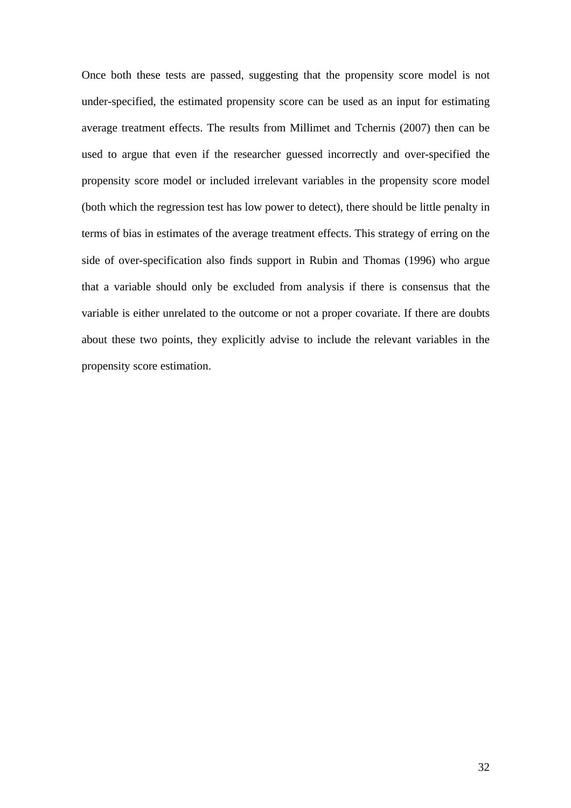Once both these tests are passed, suggesting that the propensity score model is not under-specified, the estimated propensity score can be used as an input for estimating average treatment effects. The results from Millimet and Tchernis (2007) then can be used to argue that even if the researcher guessed incorrectly and over-specified the propensity score model or included irrelevant variables in the propensity score model (both which the regression test has low power to detect), there should be little penalty in terms of bias in estimates of the average treatment effects. This strategy of erring on the side of over-specification also finds support in Rubin and Thomas (1996) who argue that a variable should only be excluded from analysis if there is consensus that the variable is either unrelated to the outcome or not a proper covariate. If there are doubts about these two points, they explicitly advise to include the relevant variables in the propensity score estimation.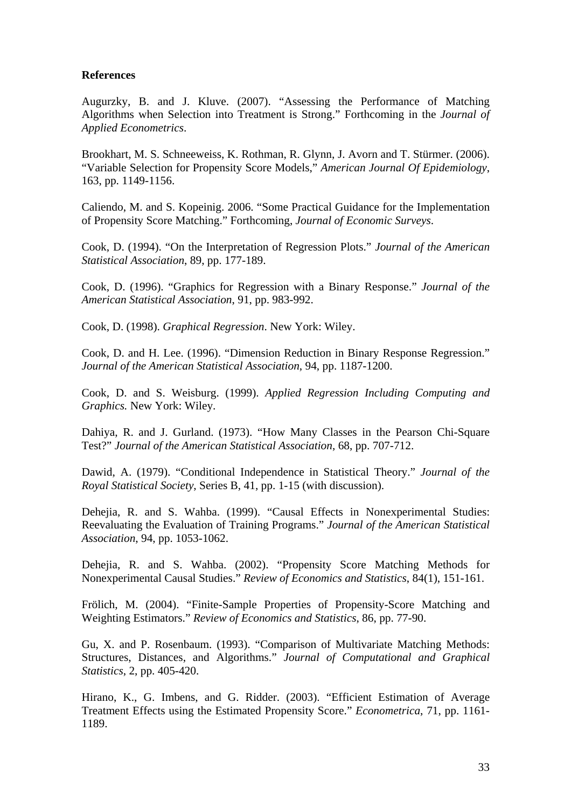## **References**

Augurzky, B. and J. Kluve. (2007). "Assessing the Performance of Matching Algorithms when Selection into Treatment is Strong." Forthcoming in the *Journal of Applied Econometrics*.

Brookhart, M. S. Schneeweiss, K. Rothman, R. Glynn, J. Avorn and T. Stürmer. (2006). "Variable Selection for Propensity Score Models," *American Journal Of Epidemiology*, 163, pp. 1149-1156.

Caliendo, M. and S. Kopeinig. 2006. "Some Practical Guidance for the Implementation of Propensity Score Matching." Forthcoming, *Journal of Economic Surveys*.

Cook, D. (1994). "On the Interpretation of Regression Plots." *Journal of the American Statistical Association*, 89, pp. 177-189.

Cook, D. (1996). "Graphics for Regression with a Binary Response." *Journal of the American Statistical Association*, 91, pp. 983-992.

Cook, D. (1998). *Graphical Regression*. New York: Wiley.

Cook, D. and H. Lee. (1996). "Dimension Reduction in Binary Response Regression." *Journal of the American Statistical Association*, 94, pp. 1187-1200.

Cook, D. and S. Weisburg. (1999). *Applied Regression Including Computing and Graphics.* New York: Wiley.

Dahiya, R. and J. Gurland. (1973). "How Many Classes in the Pearson Chi-Square Test?" *Journal of the American Statistical Association*, 68, pp. 707-712.

Dawid, A. (1979). "Conditional Independence in Statistical Theory." *Journal of the Royal Statistical Society*, Series B, 41, pp. 1-15 (with discussion).

Dehejia, R. and S. Wahba. (1999). "Causal Effects in Nonexperimental Studies: Reevaluating the Evaluation of Training Programs." *Journal of the American Statistical Association*, 94, pp. 1053-1062.

Dehejia, R. and S. Wahba. (2002). "Propensity Score Matching Methods for Nonexperimental Causal Studies." *Review of Economics and Statistics*, 84(1), 151-161.

Frölich, M. (2004). "Finite-Sample Properties of Propensity-Score Matching and Weighting Estimators." *Review of Economics and Statistics*, 86, pp. 77-90.

Gu, X. and P. Rosenbaum. (1993). "Comparison of Multivariate Matching Methods: Structures, Distances, and Algorithms." *Journal of Computational and Graphical Statistics*, 2, pp. 405-420.

Hirano, K., G. Imbens, and G. Ridder. (2003). "Efficient Estimation of Average Treatment Effects using the Estimated Propensity Score." *Econometrica*, 71, pp. 1161- 1189.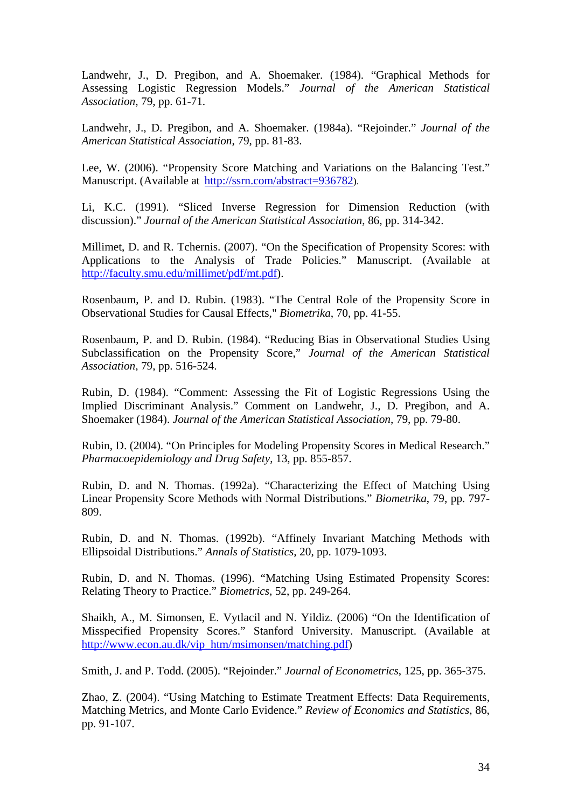Landwehr, J., D. Pregibon, and A. Shoemaker. (1984). "Graphical Methods for Assessing Logistic Regression Models." *Journal of the American Statistical Association*, 79, pp. 61-71.

Landwehr, J., D. Pregibon, and A. Shoemaker. (1984a). "Rejoinder." *Journal of the American Statistical Association*, 79, pp. 81-83.

Lee, W. (2006). "Propensity Score Matching and Variations on the Balancing Test." Manuscript. (Available at <http://ssrn.com/abstract=936782>).

Li, K.C. (1991). "Sliced Inverse Regression for Dimension Reduction (with discussion)." *Journal of the American Statistical Association*, 86, pp. 314-342.

Millimet, D. and R. Tchernis. (2007). "On the Specification of Propensity Scores: with Applications to the Analysis of Trade Policies." Manuscript. (Available at [http://faculty.smu.edu/millimet/pdf/mt.pdf\)](http://faculty.smu.edu/millimet/pdf/mt.pdf).

Rosenbaum, P. and D. Rubin. (1983). "The Central Role of the Propensity Score in Observational Studies for Causal Effects," *Biometrika*, 70, pp. 41-55.

Rosenbaum, P. and D. Rubin. (1984). "Reducing Bias in Observational Studies Using Subclassification on the Propensity Score," *Journal of the American Statistical Association*, 79, pp. 516-524.

Rubin, D. (1984). "Comment: Assessing the Fit of Logistic Regressions Using the Implied Discriminant Analysis." Comment on Landwehr, J., D. Pregibon, and A. Shoemaker (1984). *Journal of the American Statistical Association*, 79, pp. 79-80.

Rubin, D. (2004). "On Principles for Modeling Propensity Scores in Medical Research." *Pharmacoepidemiology and Drug Safety*, 13, pp. 855-857.

Rubin, D. and N. Thomas. (1992a). "Characterizing the Effect of Matching Using Linear Propensity Score Methods with Normal Distributions." *Biometrika*, 79, pp. 797- 809.

Rubin, D. and N. Thomas. (1992b). "Affinely Invariant Matching Methods with Ellipsoidal Distributions." *Annals of Statistics*, 20, pp. 1079-1093.

Rubin, D. and N. Thomas. (1996). "Matching Using Estimated Propensity Scores: Relating Theory to Practice." *Biometrics*, 52, pp. 249-264.

Shaikh, A., M. Simonsen, E. Vytlacil and N. Yildiz. (2006) "On the Identification of Misspecified Propensity Scores." Stanford University. Manuscript. (Available at [http://www.econ.au.dk/vip\\_htm/msimonsen/matching.pdf](http://www.econ.au.dk/vip_htm/msimonsen/matching.pdf))

Smith, J. and P. Todd. (2005). "Rejoinder." *Journal of Econometrics*, 125, pp. 365-375.

Zhao, Z. (2004). "Using Matching to Estimate Treatment Effects: Data Requirements, Matching Metrics, and Monte Carlo Evidence." *Review of Economics and Statistics*, 86, pp. 91-107.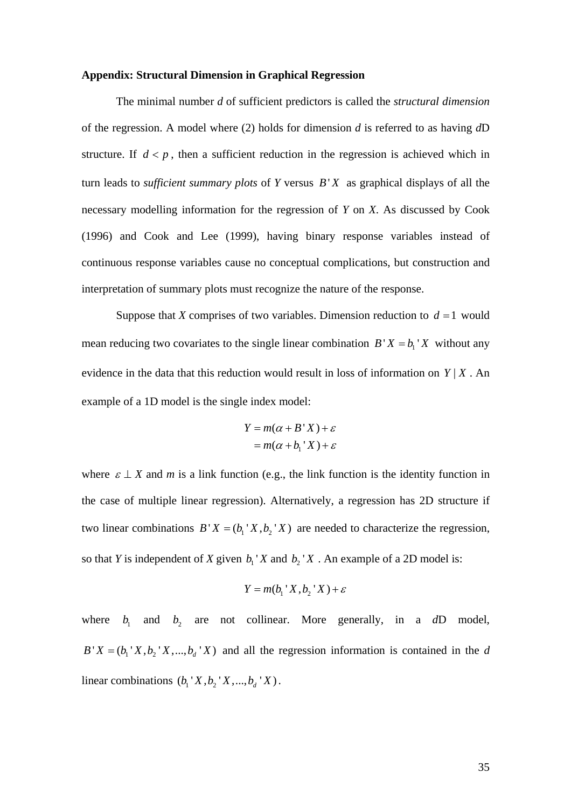#### **Appendix: Structural Dimension in Graphical Regression**

The minimal number *d* of sufficient predictors is called the *structural dimension* of the regression. A model where (2) holds for dimension *d* is referred to as having *d*D structure. If  $d < p$ , then a sufficient reduction in the regression is achieved which in turn leads to *sufficient summary plots* of *Y* versus *B*' *X* as graphical displays of all the necessary modelling information for the regression of *Y* on *X*. As discussed by Cook (1996) and Cook and Lee (1999), having binary response variables instead of continuous response variables cause no conceptual complications, but construction and interpretation of summary plots must recognize the nature of the response.

Suppose that *X* comprises of two variables. Dimension reduction to  $d = 1$  would mean reducing two covariates to the single linear combination  $B'X = b<sub>1</sub>'X$  without any evidence in the data that this reduction would result in loss of information on  $Y | X$ . An example of a 1D model is the single index model:

$$
Y = m(\alpha + B'X) + \varepsilon
$$
  
=  $m(\alpha + b_1'X) + \varepsilon$ 

where  $\varepsilon \perp X$  and *m* is a link function (e.g., the link function is the identity function in the case of multiple linear regression). Alternatively, a regression has 2D structure if two linear combinations  $B'X = (b_1'X, b_2'X)$  are needed to characterize the regression, so that *Y* is independent of *X* given  $b_1$  *X* and  $b_2$  *X*. An example of a 2D model is:

$$
Y = m(b_1 \, X, b_2 \, X) + \varepsilon
$$

where  $b_1$  and  $b_2$  are not collinear. More generally, in a  $dD$  model,  $B' X = (b_1' X, b_2' X, ..., b_d' X)$  and all the regression information is contained in the *d* linear combinations  $(b_1' X, b_2' X, ..., b_d' X)$ .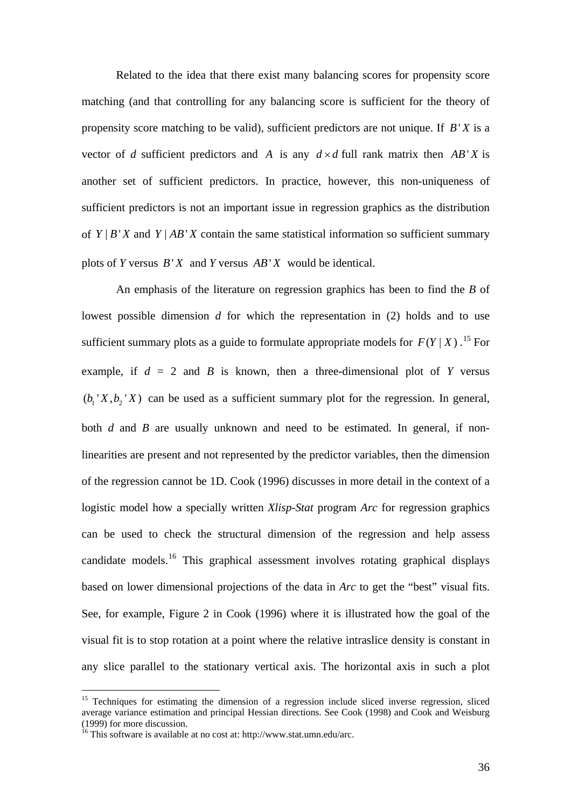Related to the idea that there exist many balancing scores for propensity score matching (and that controlling for any balancing score is sufficient for the theory of propensity score matching to be valid), sufficient predictors are not unique. If *B*' *X* is a vector of *d* sufficient predictors and *A* is any  $d \times d$  full rank matrix then  $AB'X$  is another set of sufficient predictors. In practice, however, this non-uniqueness of sufficient predictors is not an important issue in regression graphics as the distribution of  $Y \mid B \mid X$  and  $Y \mid AB \mid X$  contain the same statistical information so sufficient summary plots of *Y* versus  $B'X$  and *Y* versus  $AB'X$  would be identical.

An emphasis of the literature on regression graphics has been to find the *B* of lowest possible dimension *d* for which the representation in (2) holds and to use sufficient summary plots as a guide to formulate appropriate models for  $F(Y|X)$ .<sup>[15](#page-35-0)</sup> For example, if  $d = 2$  and  $B$  is known, then a three-dimensional plot of  $Y$  versus  $(b_1' X, b_2' X)$  can be used as a sufficient summary plot for the regression. In general, both *d* and *B* are usually unknown and need to be estimated. In general, if nonlinearities are present and not represented by the predictor variables, then the dimension of the regression cannot be 1D. Cook (1996) discusses in more detail in the context of a logistic model how a specially written *Xlisp-Stat* program *Arc* for regression graphics can be used to check the structural dimension of the regression and help assess candidate models.<sup>[16](#page-35-1)</sup> This graphical assessment involves rotating graphical displays based on lower dimensional projections of the data in *Arc* to get the "best" visual fits. See, for example, Figure 2 in Cook (1996) where it is illustrated how the goal of the visual fit is to stop rotation at a point where the relative intraslice density is constant in any slice parallel to the stationary vertical axis. The horizontal axis in such a plot

 $\overline{a}$ 

<span id="page-35-0"></span><sup>&</sup>lt;sup>15</sup> Techniques for estimating the dimension of a regression include sliced inverse regression, sliced average variance estimation and principal Hessian directions. See Cook (1998) and Cook and Weisburg (1999) for more discussion.

<span id="page-35-1"></span> $16$  This software is available at no cost at: http://www.stat.umn.edu/arc.